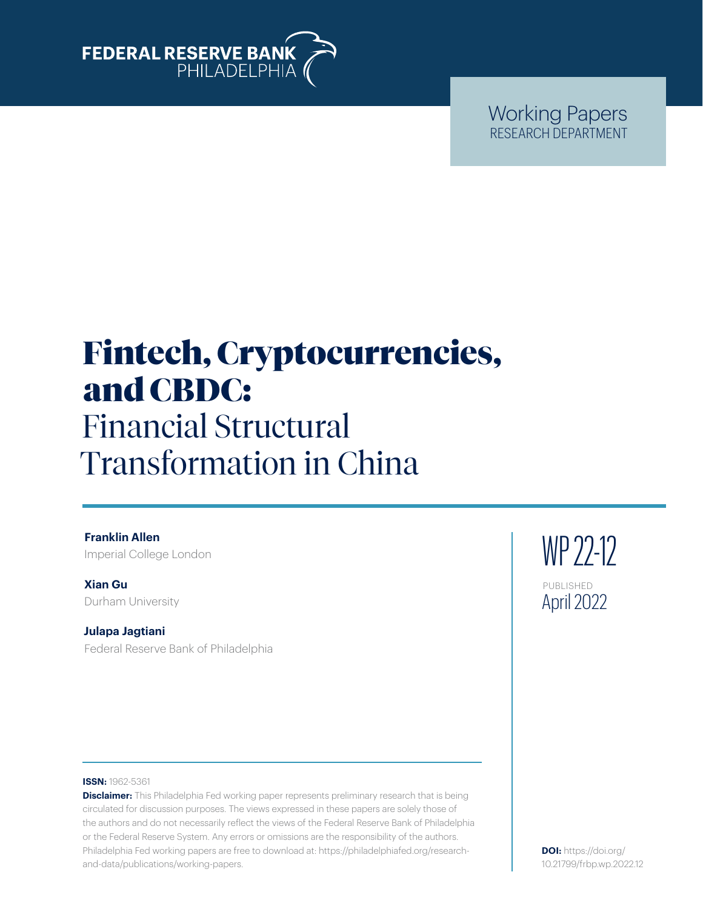

Working Papers RESEARCH DEPARTMENT

# Fintech, Cryptocurrencies, and CBDC: Financial Structural Transformation in China

**Franklin Allen** Imperial College London

**Xian Gu**  Durham University

**Julapa Jagtiani**  Federal Reserve Bank of Philadelphia

WP 22-12 PUBLISHED April 2022

#### **ISSN:** 1962-5361

**Disclaimer:** This Philadelphia Fed working paper represents preliminary research that is being circulated for discussion purposes. The views expressed in these papers are solely those of the authors and do not necessarily reflect the views of the Federal Reserve Bank of Philadelphia or the Federal Reserve System. Any errors or omissions are the responsibility of the authors. Philadelphia Fed working papers are free to download at: [https://philadelphiafed.org/research](https://philadelphiafed.org/research-and-data/publications/working-papers)[and-data/publications/working-papers](https://philadelphiafed.org/research-and-data/publications/working-papers).

**DOI:** [https://doi.org/](https://doi.org/10.21799/frbp.wp.2022.12) [10.21799/frbp.wp.2022.12](https://doi.org/10.21799/frbp.wp.2022.12)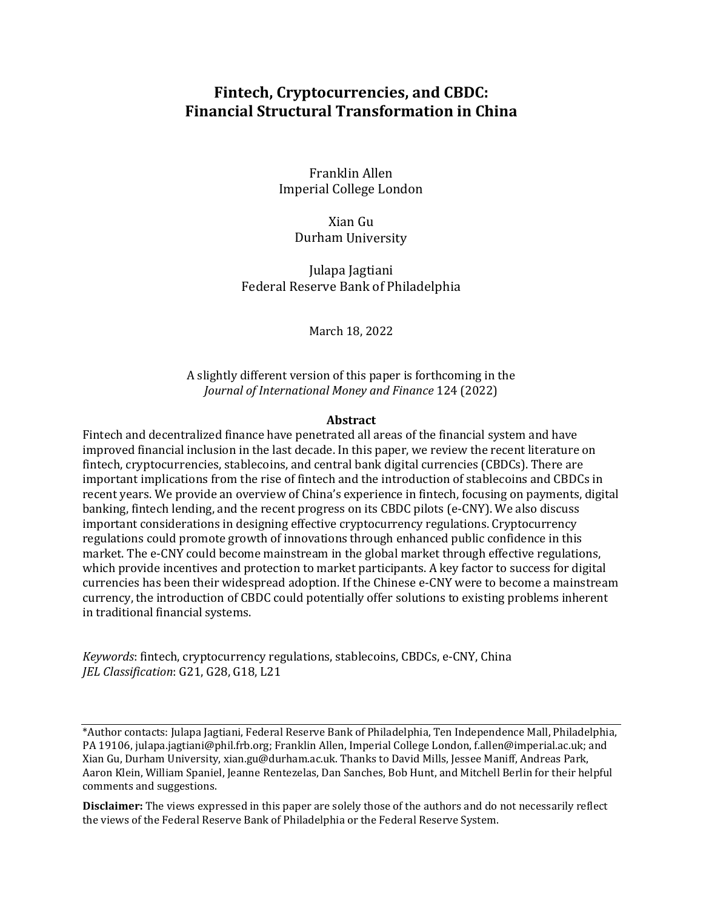# **Fintech, Cryptocurrencies, and CBDC: Financial Structural Transformation in China**

Franklin Allen Imperial College London

Xian Gu Durham University

Julapa Jagtiani Federal Reserve Bank of Philadelphia

March 18, 2022

A slightly different version of this paper is forthcoming in the *Journal of International Money and Finance* 124 (2022)

#### **Abstract**

Fintech and decentralized finance have penetrated all areas of the financial system and have improved financial inclusion in the last decade. In this paper, we review the recent literature on fintech, cryptocurrencies, stablecoins, and central bank digital currencies (CBDCs). There are important implications from the rise of fintech and the introduction of stablecoins and CBDCs in recent years. We provide an overview of China's experience in fintech, focusing on payments, digital banking, fintech lending, and the recent progress on its CBDC pilots (e-CNY). We also discuss important considerations in designing effective cryptocurrency regulations. Cryptocurrency regulations could promote growth of innovations through enhanced public confidence in this market. The e-CNY could become mainstream in the global market through effective regulations, which provide incentives and protection to market participants. A key factor to success for digital currencies has been their widespread adoption. If the Chinese e-CNY were to become a mainstream currency, the introduction of CBDC could potentially offer solutions to existing problems inherent in traditional financial systems.

*Keywords*: fintech, cryptocurrency regulations, stablecoins, CBDCs, e-CNY, China *JEL Classification*: G21, G28, G18, L21

\*Author contacts: Julapa Jagtiani, Federal Reserve Bank of Philadelphia, Ten Independence Mall, Philadelphia, PA 19106, [julapa.jagtiani@phil.frb.org;](mailto:julapa.jagtiani@phil.frb.org) Franklin Allen, Imperial College London, [f.allen@imperial.ac.uk;](mailto:f.allen@imperial.ac.uk) and Xian Gu, Durham University, [xian.gu@durham.ac.uk.](mailto:xian.gu@durham.ac.uk) Thanks to David Mills, Jessee Maniff, Andreas Park, Aaron Klein, William Spaniel, Jeanne Rentezelas, Dan Sanches, Bob Hunt, and Mitchell Berlin for their helpful comments and suggestions.

**Disclaimer:** The views expressed in this paper are solely those of the authors and do not necessarily reflect the views of the Federal Reserve Bank of Philadelphia or the Federal Reserve System.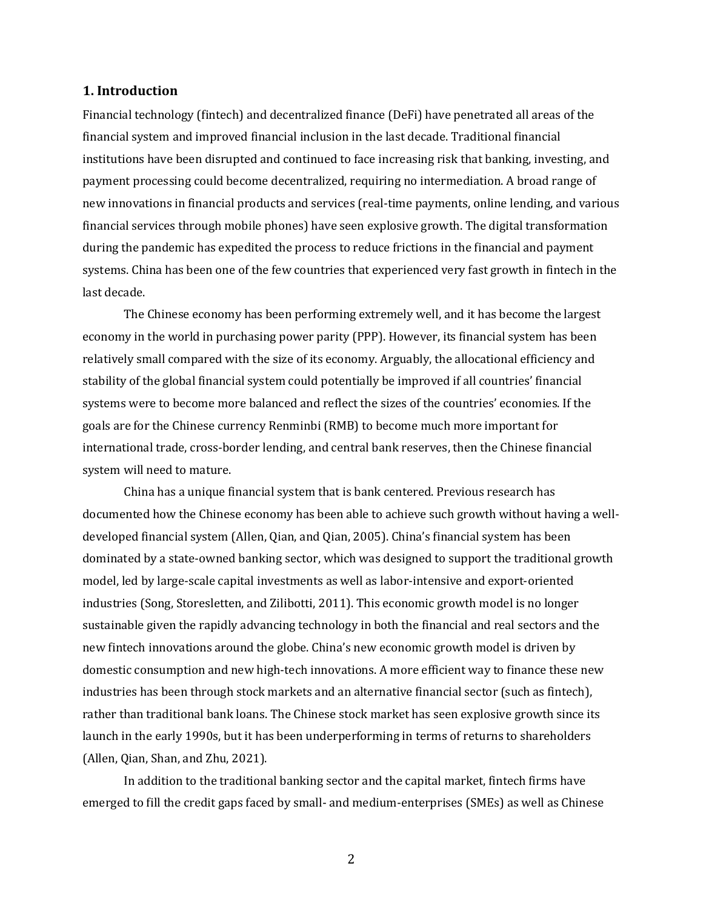#### **1. Introduction**

Financial technology (fintech) and decentralized finance (DeFi) have penetrated all areas of the financial system and improved financial inclusion in the last decade. Traditional financial institutions have been disrupted and continued to face increasing risk that banking, investing, and payment processing could become decentralized, requiring no intermediation. A broad range of new innovations in financial products and services (real-time payments, online lending, and various financial services through mobile phones) have seen explosive growth. The digital transformation during the pandemic has expedited the process to reduce frictions in the financial and payment systems. China has been one of the few countries that experienced very fast growth in fintech in the last decade.

The Chinese economy has been performing extremely well, and it has become the largest economy in the world in purchasing power parity (PPP). However, its financial system has been relatively small compared with the size of its economy. Arguably, the allocational efficiency and stability of the global financial system could potentially be improved if all countries' financial systems were to become more balanced and reflect the sizes of the countries' economies. If the goals are for the Chinese currency Renminbi (RMB) to become much more important for international trade, cross-border lending, and central bank reserves, then the Chinese financial system will need to mature.

China has a unique financial system that is bank centered. Previous research has documented how the Chinese economy has been able to achieve such growth without having a welldeveloped financial system (Allen, Qian, and Qian, 2005). China's financial system has been dominated by a state-owned banking sector, which was designed to support the traditional growth model, led by large-scale capital investments as well as labor-intensive and export-oriented industries (Song, Storesletten, and Zilibotti, 2011). This economic growth model is no longer sustainable given the rapidly advancing technology in both the financial and real sectors and the new fintech innovations around the globe. China's new economic growth model is driven by domestic consumption and new high-tech innovations. A more efficient way to finance these new industries has been through stock markets and an alternative financial sector (such as fintech), rather than traditional bank loans. The Chinese stock market has seen explosive growth since its launch in the early 1990s, but it has been underperforming in terms of returns to shareholders (Allen, Qian, Shan, and Zhu, 2021).

In addition to the traditional banking sector and the capital market, fintech firms have emerged to fill the credit gaps faced by small- and medium-enterprises (SMEs) as well as Chinese

2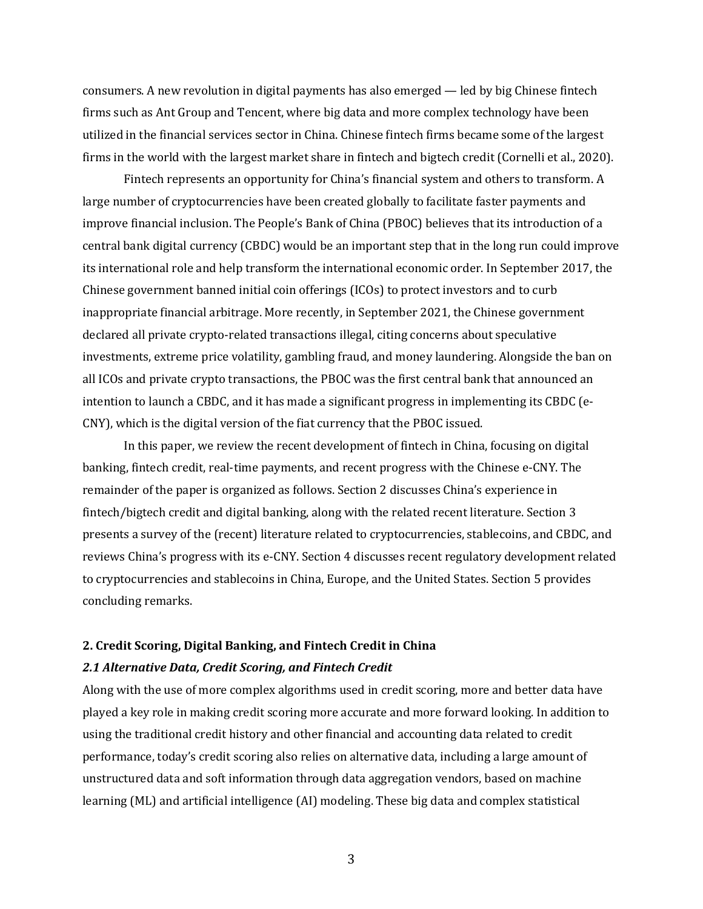consumers. A new revolution in digital payments has also emerged — led by big Chinese fintech firms such as Ant Group and Tencent, where big data and more complex technology have been utilized in the financial services sector in China. Chinese fintech firms became some of the largest firms in the world with the largest market share in fintech and bigtech credit (Cornelli et al., 2020).

Fintech represents an opportunity for China's financial system and others to transform. A large number of cryptocurrencies have been created globally to facilitate faster payments and improve financial inclusion. The People's Bank of China (PBOC) believes that its introduction of a central bank digital currency (CBDC) would be an important step that in the long run could improve its international role and help transform the international economic order. In September 2017, the Chinese government banned initial coin offerings (ICOs) to protect investors and to curb inappropriate financial arbitrage. More recently, in September 2021, the Chinese government declared all private crypto-related transactions illegal, citing concerns about speculative investments, extreme price volatility, gambling fraud, and money laundering. Alongside the ban on all ICOs and private crypto transactions, the PBOC was the first central bank that announced an intention to launch a CBDC, and it has made a significant progress in implementing its CBDC (e-CNY), which is the digital version of the fiat currency that the PBOC issued.

In this paper, we review the recent development of fintech in China, focusing on digital banking, fintech credit, real-time payments, and recent progress with the Chinese e-CNY. The remainder of the paper is organized as follows. Section 2 discusses China's experience in fintech/bigtech credit and digital banking, along with the related recent literature. Section 3 presents a survey of the (recent) literature related to cryptocurrencies, stablecoins, and CBDC, and reviews China's progress with its e-CNY. Section 4 discusses recent regulatory development related to cryptocurrencies and stablecoins in China, Europe, and the United States. Section 5 provides concluding remarks.

# **2. Credit Scoring, Digital Banking, and Fintech Credit in China** *2.1 Alternative Data, Credit Scoring, and Fintech Credit*

Along with the use of more complex algorithms used in credit scoring, more and better data have played a key role in making credit scoring more accurate and more forward looking. In addition to using the traditional credit history and other financial and accounting data related to credit performance, today's credit scoring also relies on alternative data, including a large amount of unstructured data and soft information through data aggregation vendors, based on machine learning (ML) and artificial intelligence (AI) modeling. These big data and complex statistical

3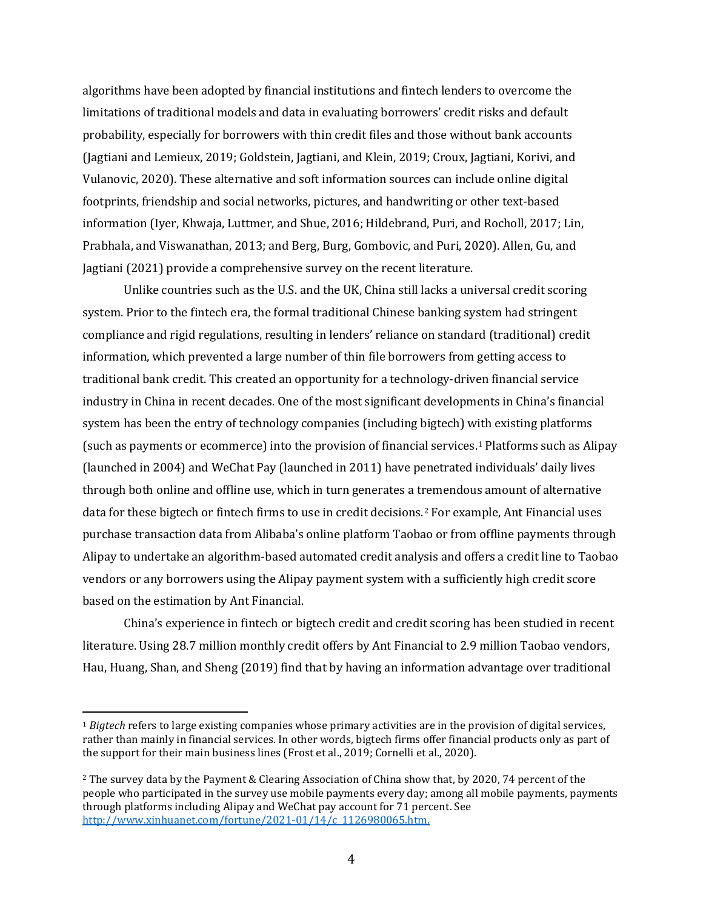algorithms have been adopted by financial institutions and fintech lenders to overcome the limitations of traditional models and data in evaluating borrowers' credit risks and default probability, especially for borrowers with thin credit files and those without bank accounts (Jagtiani and Lemieux, 2019; Goldstein, Jagtiani, and Klein, 2019; Croux, Jagtiani, Korivi, and Vulanovic, 2020). These alternative and soft information sources can include online digital footprints, friendship and social networks, pictures, and handwriting or other text-based information (Iyer, Khwaja, Luttmer, and Shue, 2016; Hildebrand, Puri, and Rocholl, 2017; Lin, Prabhala, and Viswanathan, 2013; and Berg, Burg, Gombovic, and Puri, 2020). Allen, Gu, and Jagtiani (2021) provide a comprehensive survey on the recent literature.

Unlike countries such as the U.S. and the UK, China still lacks a universal credit scoring system. Prior to the fintech era, the formal traditional Chinese banking system had stringent compliance and rigid regulations, resulting in lenders' reliance on standard (traditional) credit information, which prevented a large number of thin file borrowers from getting access to traditional bank credit. This created an opportunity for a technology-driven financial service industry in China in recent decades. One of the most significant developments in China's financial system has been the entry of technology companies (including bigtech) with existing platforms (such as payments or ecommerce) into the provision of financial services.[1](#page-4-0) Platforms such as Alipay (launched in 2004) and WeChat Pay (launched in 2011) have penetrated individuals' daily lives through both online and offline use, which in turn generates a tremendous amount of alternative data for these bigtech or fintech firms to use in credit decisions.[2](#page-4-1) For example, Ant Financial uses purchase transaction data from Alibaba's online platform Taobao or from offline payments through Alipay to undertake an algorithm-based automated credit analysis and offers a credit line to Taobao vendors or any borrowers using the Alipay payment system with a sufficiently high credit score based on the estimation by Ant Financial.

China's experience in fintech or bigtech credit and credit scoring has been studied in recent literature. Using 28.7 million monthly credit offers by Ant Financial to 2.9 million Taobao vendors, Hau, Huang, Shan, and Sheng (2019) find that by having an information advantage over traditional

<span id="page-4-0"></span><sup>1</sup> *Bigtech* refers to large existing companies whose primary activities are in the provision of digital services, rather than mainly in financial services. In other words, bigtech firms offer financial products only as part of the support for their main business lines (Frost et al., 2019; Cornelli et al., 2020).

<span id="page-4-1"></span><sup>2</sup> The survey data by the Payment & Clearing Association of China show that, by 2020, 74 percent of the people who participated in the survey use mobile payments every day; among all mobile payments, payments through platforms including Alipay and WeChat pay account for 71 percent. See [http://www.xinhuanet.com/fortune/2021-01/14/c\\_1126980065.htm.](http://www.xinhuanet.com/fortune/2021-01/14/c_1126980065.htm)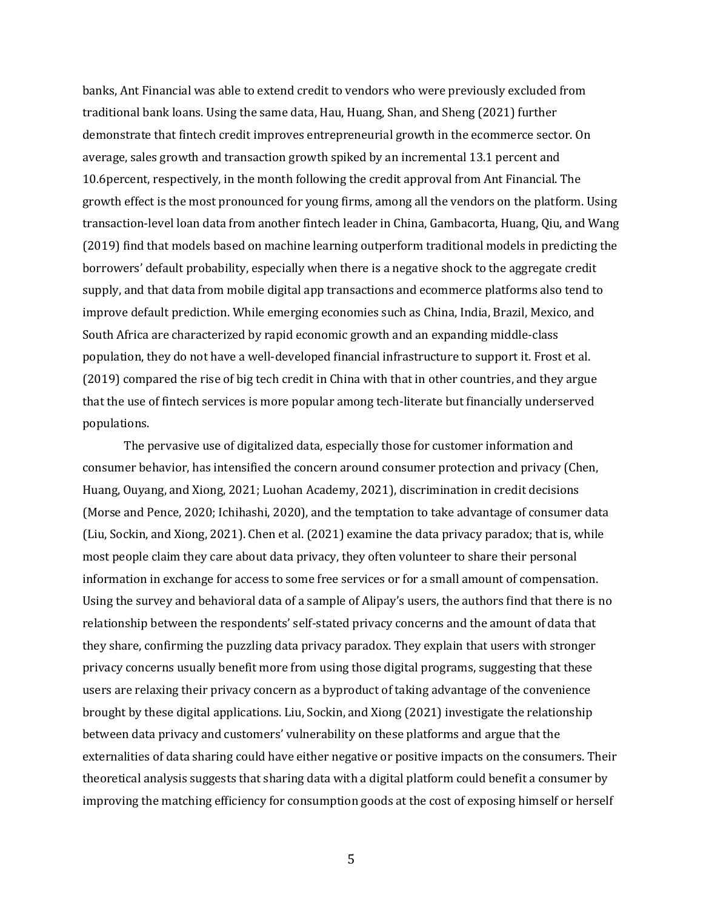banks, Ant Financial was able to extend credit to vendors who were previously excluded from traditional bank loans. Using the same data, Hau, Huang, Shan, and Sheng (2021) further demonstrate that fintech credit improves entrepreneurial growth in the ecommerce sector. On average, sales growth and transaction growth spiked by an incremental 13.1 percent and 10.6percent, respectively, in the month following the credit approval from Ant Financial. The growth effect is the most pronounced for young firms, among all the vendors on the platform. Using transaction-level loan data from another fintech leader in China, Gambacorta, Huang, Qiu, and Wang (2019) find that models based on machine learning outperform traditional models in predicting the borrowers' default probability, especially when there is a negative shock to the aggregate credit supply, and that data from mobile digital app transactions and ecommerce platforms also tend to improve default prediction. While emerging economies such as China, India, Brazil, Mexico, and South Africa are characterized by rapid economic growth and an expanding middle-class population, they do not have a well-developed financial infrastructure to support it. Frost et al. (2019) compared the rise of big tech credit in China with that in other countries, and they argue that the use of fintech services is more popular among tech-literate but financially underserved populations.

The pervasive use of digitalized data, especially those for customer information and consumer behavior, has intensified the concern around consumer protection and privacy (Chen, Huang, Ouyang, and Xiong, 2021; Luohan Academy, 2021), discrimination in credit decisions (Morse and Pence, 2020; Ichihashi, 2020), and the temptation to take advantage of consumer data (Liu, Sockin, and Xiong, 2021). Chen et al. (2021) examine the data privacy paradox; that is, while most people claim they care about data privacy, they often volunteer to share their personal information in exchange for access to some free services or for a small amount of compensation. Using the survey and behavioral data of a sample of Alipay's users, the authors find that there is no relationship between the respondents' self-stated privacy concerns and the amount of data that they share, confirming the puzzling data privacy paradox. They explain that users with stronger privacy concerns usually benefit more from using those digital programs, suggesting that these users are relaxing their privacy concern as a byproduct of taking advantage of the convenience brought by these digital applications. Liu, Sockin, and Xiong (2021) investigate the relationship between data privacy and customers' vulnerability on these platforms and argue that the externalities of data sharing could have either negative or positive impacts on the consumers. Their theoretical analysis suggests that sharing data with a digital platform could benefit a consumer by improving the matching efficiency for consumption goods at the cost of exposing himself or herself

5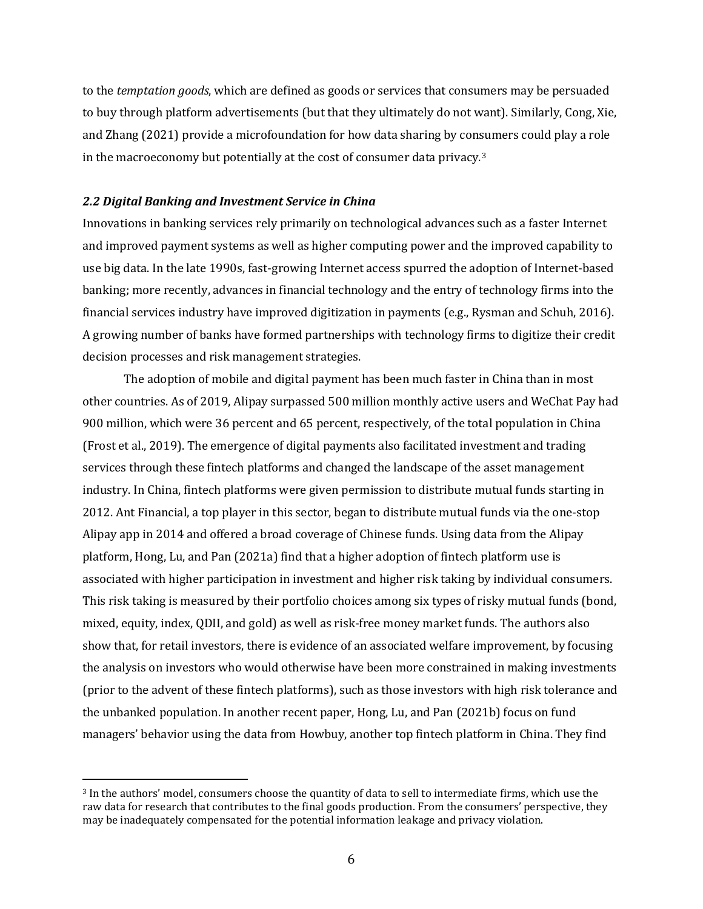to the *temptation goods*, which are defined as goods or services that consumers may be persuaded to buy through platform advertisements (but that they ultimately do not want). Similarly, Cong, Xie, and Zhang (2021) provide a microfoundation for how data sharing by consumers could play a role in the macroeconomy but potentially at the cost of consumer data privacy.[3](#page-6-0) 

### *2.2 Digital Banking and Investment Service in China*

Innovations in banking services rely primarily on technological advances such as a faster Internet and improved payment systems as well as higher computing power and the improved capability to use big data. In the late 1990s, fast-growing Internet access spurred the adoption of Internet-based banking; more recently, advances in financial technology and the entry of technology firms into the financial services industry have improved digitization in payments (e.g., Rysman and Schuh, 2016). A growing number of banks have formed partnerships with technology firms to digitize their credit decision processes and risk management strategies.

The adoption of mobile and digital payment has been much faster in China than in most other countries. As of 2019, Alipay surpassed 500 million monthly active users and WeChat Pay had 900 million, which were 36 percent and 65 percent, respectively, of the total population in China (Frost et al., 2019). The emergence of digital payments also facilitated investment and trading services through these fintech platforms and changed the landscape of the asset management industry. In China, fintech platforms were given permission to distribute mutual funds starting in 2012. Ant Financial, a top player in this sector, began to distribute mutual funds via the one-stop Alipay app in 2014 and offered a broad coverage of Chinese funds. Using data from the Alipay platform, Hong, Lu, and Pan (2021a) find that a higher adoption of fintech platform use is associated with higher participation in investment and higher risk taking by individual consumers. This risk taking is measured by their portfolio choices among six types of risky mutual funds (bond, mixed, equity, index, QDII, and gold) as well as risk-free money market funds. The authors also show that, for retail investors, there is evidence of an associated welfare improvement, by focusing the analysis on investors who would otherwise have been more constrained in making investments (prior to the advent of these fintech platforms), such as those investors with high risk tolerance and the unbanked population. In another recent paper, Hong, Lu, and Pan (2021b) focus on fund managers' behavior using the data from Howbuy, another top fintech platform in China. They find

<span id="page-6-0"></span><sup>3</sup> In the authors' model, consumers choose the quantity of data to sell to intermediate firms, which use the raw data for research that contributes to the final goods production. From the consumers' perspective, they may be inadequately compensated for the potential information leakage and privacy violation.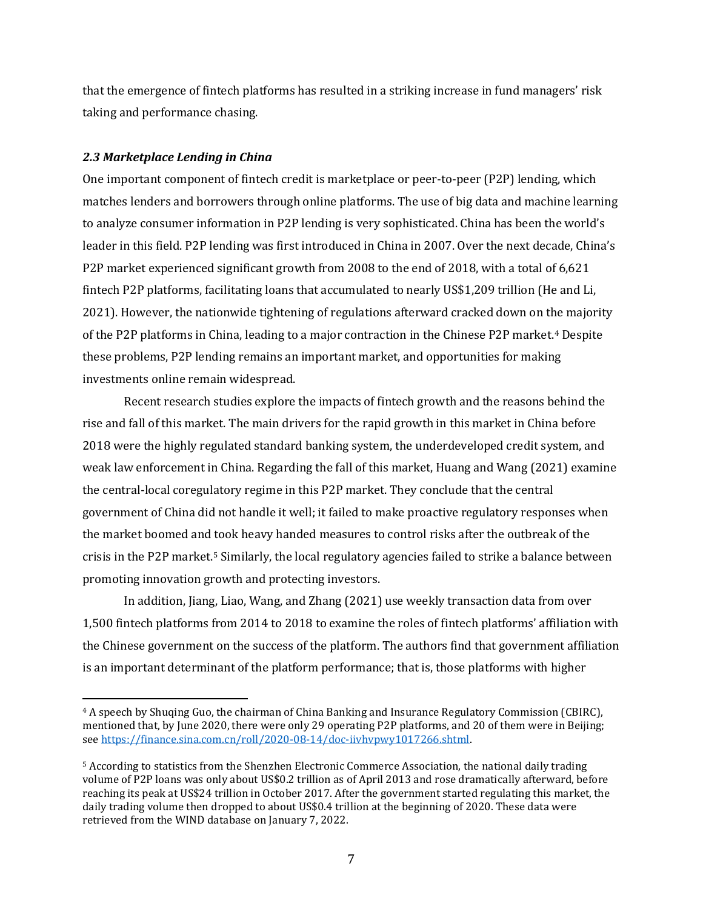that the emergence of fintech platforms has resulted in a striking increase in fund managers' risk taking and performance chasing.

# *2.3 Marketplace Lending in China*

One important component of fintech credit is marketplace or peer-to-peer (P2P) lending, which matches lenders and borrowers through online platforms. The use of big data and machine learning to analyze consumer information in P2P lending is very sophisticated. China has been the world's leader in this field. P2P lending was first introduced in China in 2007. Over the next decade, China's P2P market experienced significant growth from 2008 to the end of 2018, with a total of 6,621 fintech P2P platforms, facilitating loans that accumulated to nearly US\$1,209 trillion (He and Li, 2021). However, the nationwide tightening of regulations afterward cracked down on the majority of the P2P platforms in China, leading to a major contraction in the Chinese P2P market.<sup>[4](#page-7-0)</sup> Despite these problems, P2P lending remains an important market, and opportunities for making investments online remain widespread.

Recent research studies explore the impacts of fintech growth and the reasons behind the rise and fall of this market. The main drivers for the rapid growth in this market in China before 2018 were the highly regulated standard banking system, the underdeveloped credit system, and weak law enforcement in China. Regarding the fall of this market, Huang and Wang (2021) examine the central-local coregulatory regime in this P2P market. They conclude that the central government of China did not handle it well; it failed to make proactive regulatory responses when the market boomed and took heavy handed measures to control risks after the outbreak of the crisis in the P2P market.[5](#page-7-1) Similarly, the local regulatory agencies failed to strike a balance between promoting innovation growth and protecting investors.

In addition, Jiang, Liao, Wang, and Zhang (2021) use weekly transaction data from over 1,500 fintech platforms from 2014 to 2018 to examine the roles of fintech platforms' affiliation with the Chinese government on the success of the platform. The authors find that government affiliation is an important determinant of the platform performance; that is, those platforms with higher

<span id="page-7-0"></span><sup>4</sup> A speech by Shuqing Guo, the chairman of China Banking and Insurance Regulatory Commission (CBIRC), mentioned that, by June 2020, there were only 29 operating P2P platforms, and 20 of them were in Beijing; see [https://finance.sina.com.cn/roll/2020-08-14/doc-iivhvpwy1017266.shtml.](https://finance.sina.com.cn/roll/2020-08-14/doc-iivhvpwy1017266.shtml) 

<span id="page-7-1"></span><sup>5</sup> According to statistics from the Shenzhen Electronic Commerce Association, the national daily trading volume of P2P loans was only about US\$0.2 trillion as of April 2013 and rose dramatically afterward, before reaching its peak at US\$24 trillion in October 2017. After the government started regulating this market, the daily trading volume then dropped to about US\$0.4 trillion at the beginning of 2020. These data were retrieved from the WIND database on January 7, 2022.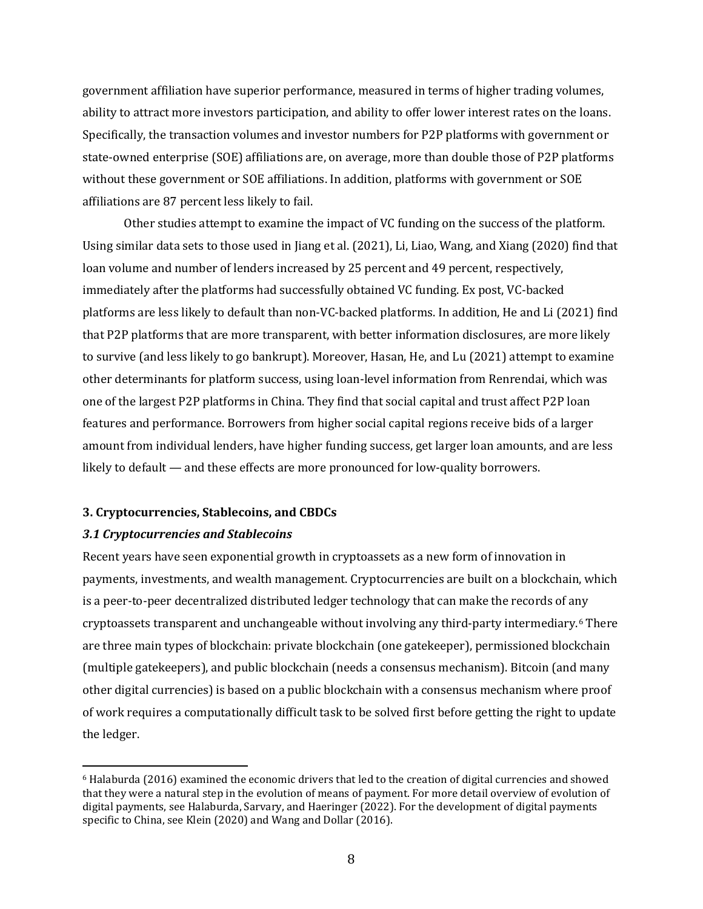government affiliation have superior performance, measured in terms of higher trading volumes, ability to attract more investors participation, and ability to offer lower interest rates on the loans. Specifically, the transaction volumes and investor numbers for P2P platforms with government or state-owned enterprise (SOE) affiliations are, on average, more than double those of P2P platforms without these government or SOE affiliations. In addition, platforms with government or SOE affiliations are 87 percent less likely to fail.

Other studies attempt to examine the impact of VC funding on the success of the platform. Using similar data sets to those used in Jiang et al. (2021), Li, Liao, Wang, and Xiang (2020) find that loan volume and number of lenders increased by 25 percent and 49 percent, respectively, immediately after the platforms had successfully obtained VC funding. Ex post, VC-backed platforms are less likely to default than non-VC-backed platforms. In addition, He and Li (2021) find that P2P platforms that are more transparent, with better information disclosures, are more likely to survive (and less likely to go bankrupt). Moreover, Hasan, He, and Lu (2021) attempt to examine other determinants for platform success, using loan-level information from Renrendai, which was one of the largest P2P platforms in China. They find that social capital and trust affect P2P loan features and performance. Borrowers from higher social capital regions receive bids of a larger amount from individual lenders, have higher funding success, get larger loan amounts, and are less likely to default — and these effects are more pronounced for low-quality borrowers.

## **3. Cryptocurrencies, Stablecoins, and CBDCs**

## *3.1 Cryptocurrencies and Stablecoins*

Recent years have seen exponential growth in cryptoassets as a new form of innovation in payments, investments, and wealth management. Cryptocurrencies are built on a blockchain, which is a peer-to-peer decentralized distributed ledger technology that can make the records of any cryptoassets transparent and unchangeable without involving any third-party intermediary.[6](#page-8-0) There are three main types of blockchain: private blockchain (one gatekeeper), permissioned blockchain (multiple gatekeepers), and public blockchain (needs a consensus mechanism). Bitcoin (and many other digital currencies) is based on a public blockchain with a consensus mechanism where proof of work requires a computationally difficult task to be solved first before getting the right to update the ledger.

<span id="page-8-0"></span><sup>6</sup> Halaburda (2016) examined the economic drivers that led to the creation of digital currencies and showed that they were a natural step in the evolution of means of payment. For more detail overview of evolution of digital payments, see Halaburda, Sarvary, and Haeringer (2022). For the development of digital payments specific to China, see Klein (2020) and Wang and Dollar (2016).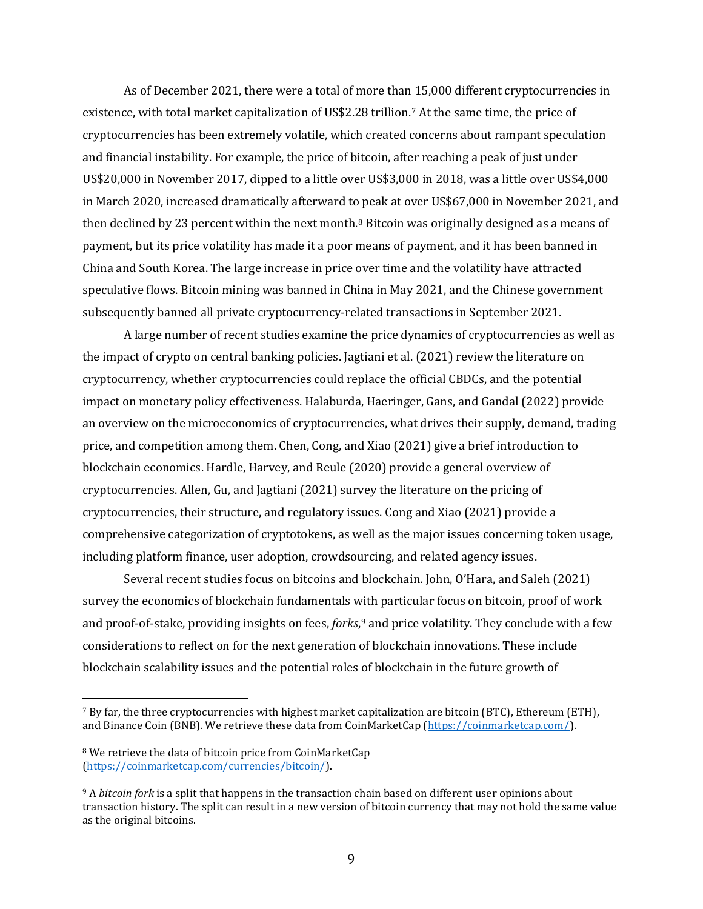As of December 2021, there were a total of more than 15,000 different cryptocurrencies in existence, with total market capitalization of US\$2.28 trillion.[7](#page-9-0) At the same time, the price of cryptocurrencies has been extremely volatile, which created concerns about rampant speculation and financial instability. For example, the price of bitcoin, after reaching a peak of just under US\$20,000 in November 2017, dipped to a little over US\$3,000 in 2018, was a little over US\$4,000 in March 2020, increased dramatically afterward to peak at over US\$67,000 in November 2021, and then declined by 23 percent within the next month[.8](#page-9-1) Bitcoin was originally designed as a means of payment, but its price volatility has made it a poor means of payment, and it has been banned in China and South Korea. The large increase in price over time and the volatility have attracted speculative flows. Bitcoin mining was banned in China in May 2021, and the Chinese government subsequently banned all private cryptocurrency-related transactions in September 2021.

A large number of recent studies examine the price dynamics of cryptocurrencies as well as the impact of crypto on central banking policies. Jagtiani et al. (2021) review the literature on cryptocurrency, whether cryptocurrencies could replace the official CBDCs, and the potential impact on monetary policy effectiveness. Halaburda, Haeringer, Gans, and Gandal (2022) provide an overview on the microeconomics of cryptocurrencies, what drives their supply, demand, trading price, and competition among them. Chen, Cong, and Xiao (2021) give a brief introduction to blockchain economics. Hardle, Harvey, and Reule (2020) provide a general overview of cryptocurrencies. Allen, Gu, and Jagtiani (2021) survey the literature on the pricing of cryptocurrencies, their structure, and regulatory issues. Cong and Xiao (2021) provide a comprehensive categorization of cryptotokens, as well as the major issues concerning token usage, including platform finance, user adoption, crowdsourcing, and related agency issues.

Several recent studies focus on bitcoins and blockchain. John, O'Hara, and Saleh (2021) survey the economics of blockchain fundamentals with particular focus on bitcoin, proof of work and proof-of-stake, providing insights on fees, *forks*,[9](#page-9-2) and price volatility. They conclude with a few considerations to reflect on for the next generation of blockchain innovations. These include blockchain scalability issues and the potential roles of blockchain in the future growth of

<span id="page-9-0"></span><sup>7</sup> By far, the three cryptocurrencies with highest market capitalization are bitcoin (BTC), Ethereum (ETH), and Binance Coin (BNB). We retrieve these data from CoinMarketCap [\(https://coinmarketcap.com/\)](https://coinmarketcap.com/).

<span id="page-9-1"></span><sup>8</sup> We retrieve the data of bitcoin price from CoinMarketCap [\(https://coinmarketcap.com/currencies/bitcoin/\)](https://coinmarketcap.com/currencies/bitcoin/).

<span id="page-9-2"></span><sup>9</sup> A *bitcoin fork* is a split that happens in the transaction chain based on different user opinions about transaction history. The split can result in a new version of bitcoin currency that may not hold the same value as the original bitcoins.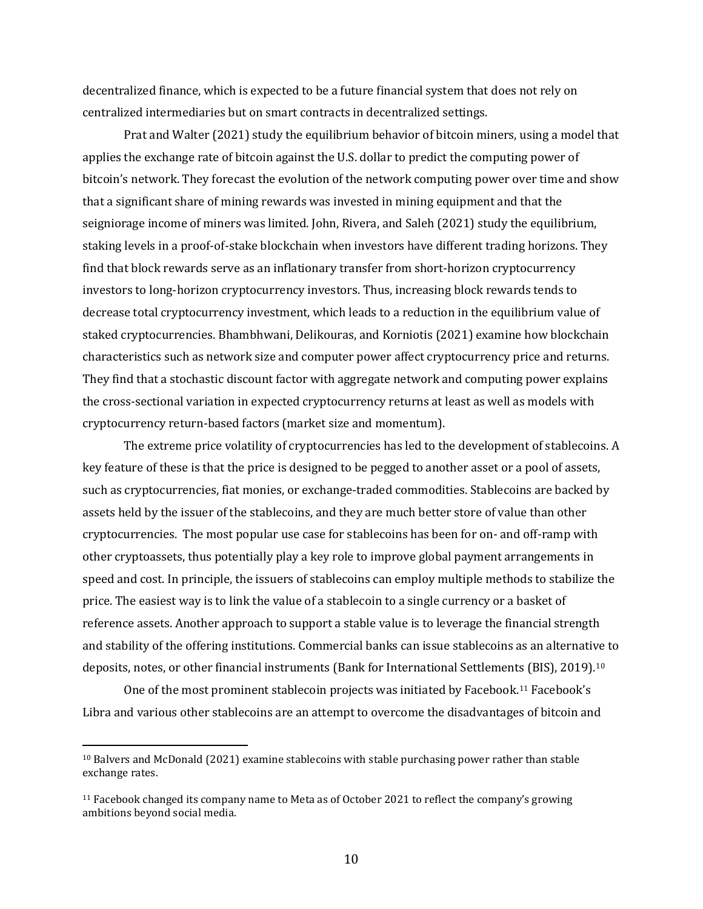decentralized finance, which is expected to be a future financial system that does not rely on centralized intermediaries but on smart contracts in decentralized settings.

Prat and Walter (2021) study the equilibrium behavior of bitcoin miners, using a model that applies the exchange rate of bitcoin against the U.S. dollar to predict the computing power of bitcoin's network. They forecast the evolution of the network computing power over time and show that a significant share of mining rewards was invested in mining equipment and that the seigniorage income of miners was limited. John, Rivera, and Saleh (2021) study the equilibrium, staking levels in a proof-of-stake blockchain when investors have different trading horizons. They find that block rewards serve as an inflationary transfer from short-horizon cryptocurrency investors to long-horizon cryptocurrency investors. Thus, increasing block rewards tends to decrease total cryptocurrency investment, which leads to a reduction in the equilibrium value of staked cryptocurrencies. Bhambhwani, Delikouras, and Korniotis (2021) examine how blockchain characteristics such as network size and computer power affect cryptocurrency price and returns. They find that a stochastic discount factor with aggregate network and computing power explains the cross-sectional variation in expected cryptocurrency returns at least as well as models with cryptocurrency return-based factors (market size and momentum).

The extreme price volatility of cryptocurrencies has led to the development of stablecoins. A key feature of these is that the price is designed to be pegged to another asset or a pool of assets, such as cryptocurrencies, fiat monies, or exchange-traded commodities. Stablecoins are backed by assets held by the issuer of the stablecoins, and they are much better store of value than other cryptocurrencies. The most popular use case for stablecoins has been for on- and off-ramp with other cryptoassets, thus potentially play a key role to improve global payment arrangements in speed and cost. In principle, the issuers of stablecoins can employ multiple methods to stabilize the price. The easiest way is to link the value of a stablecoin to a single currency or a basket of reference assets. Another approach to support a stable value is to leverage the financial strength and stability of the offering institutions. Commercial banks can issue stablecoins as an alternative to deposits, notes, or other financial instruments (Bank for International Settlements (BIS), 2019)[.10](#page-10-0)

One of the most prominent stablecoin projects was initiated by Facebook.[11](#page-10-1) Facebook's Libra and various other stablecoins are an attempt to overcome the disadvantages of bitcoin and

<span id="page-10-0"></span> $10$  Balvers and McDonald (2021) examine stablecoins with stable purchasing power rather than stable exchange rates.

<span id="page-10-1"></span> $11$  Facebook changed its company name to Meta as of October 2021 to reflect the company's growing ambitions beyond social media.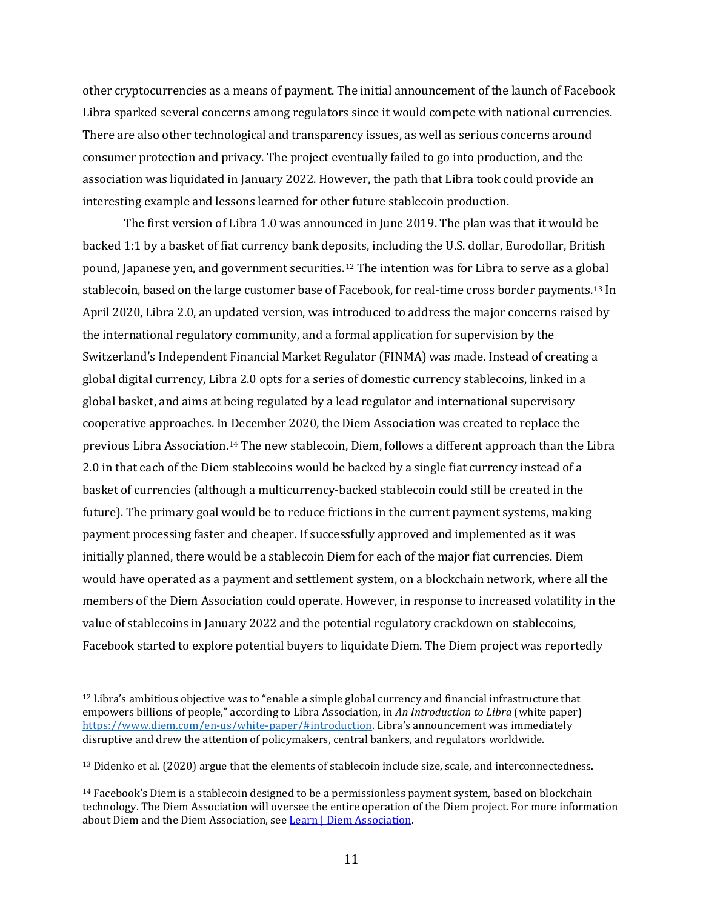other cryptocurrencies as a means of payment. The initial announcement of the launch of Facebook Libra sparked several concerns among regulators since it would compete with national currencies. There are also other technological and transparency issues, as well as serious concerns around consumer protection and privacy. The project eventually failed to go into production, and the association was liquidated in January 2022. However, the path that Libra took could provide an interesting example and lessons learned for other future stablecoin production.

The first version of Libra 1.0 was announced in June 2019. The plan was that it would be backed 1:1 by a basket of fiat currency bank deposits, including the U.S. dollar, Eurodollar, British pound, Japanese yen, and government securities.[12](#page-11-0) The intention was for Libra to serve as a global stablecoin, based on the large customer base of Facebook, for real-time cross border payments.[13](#page-11-1) In April 2020, Libra 2.0, an updated version, was introduced to address the major concerns raised by the international regulatory community, and a formal application for supervision by the Switzerland's Independent Financial Market Regulator (FINMA) was made. Instead of creating a global digital currency, Libra 2.0 opts for a series of domestic currency stablecoins, linked in a global basket, and aims at being regulated by a lead regulator and international supervisory cooperative approaches. In December 2020, the Diem Association was created to replace the previous Libra Association.[14](#page-11-2) The new stablecoin, Diem, follows a different approach than the Libra 2.0 in that each of the Diem stablecoins would be backed by a single fiat currency instead of a basket of currencies (although a multicurrency-backed stablecoin could still be created in the future). The primary goal would be to reduce frictions in the current payment systems, making payment processing faster and cheaper. If successfully approved and implemented as it was initially planned, there would be a stablecoin Diem for each of the major fiat currencies. Diem would have operated as a payment and settlement system, on a blockchain network, where all the members of the Diem Association could operate. However, in response to increased volatility in the value of stablecoins in January 2022 and the potential regulatory crackdown on stablecoins, Facebook started to explore potential buyers to liquidate Diem. The Diem project was reportedly

<span id="page-11-0"></span> $12$  Libra's ambitious objective was to "enable a simple global currency and financial infrastructure that empowers billions of people," according to Libra Association, in *An Introduction to Libra* (white paper) [https://www.diem.com/en-us/white-paper/#introduction.](https://www.diem.com/en-us/white-paper/#introduction) Libra's announcement was immediately disruptive and drew the attention of policymakers, central bankers, and regulators worldwide.

<span id="page-11-1"></span><sup>&</sup>lt;sup>13</sup> Didenko et al. (2020) argue that the elements of stablecoin include size, scale, and interconnectedness.

<span id="page-11-2"></span> $14$  Facebook's Diem is a stablecoin designed to be a permissionless payment system, based on blockchain technology. The Diem Association will oversee the entire operation of the Diem project. For more information about Diem and the Diem Association, se[e Learn | Diem Association.](https://www.diem.com/en-us/learn-faq/)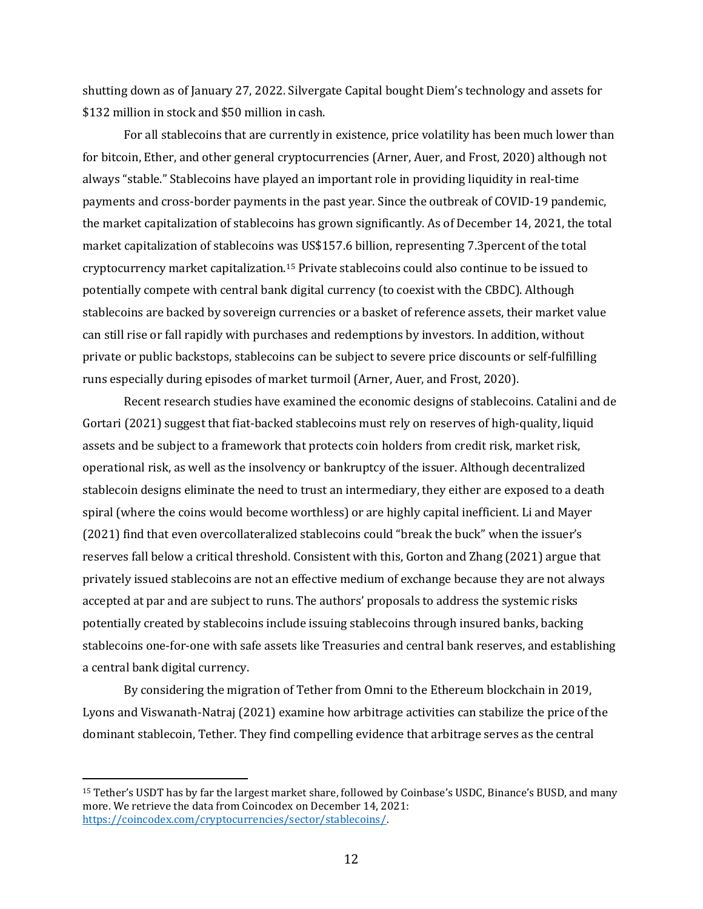shutting down as of January 27, 2022. Silvergate Capital bought Diem's technology and assets for \$132 million in stock and \$50 million in cash.

For all stablecoins that are currently in existence, price volatility has been much lower than for bitcoin, Ether, and other general cryptocurrencies (Arner, Auer, and Frost, 2020) although not always "stable." Stablecoins have played an important role in providing liquidity in real-time payments and cross-border payments in the past year. Since the outbreak of COVID-19 pandemic, the market capitalization of stablecoins has grown significantly. As of December 14, 2021, the total market capitalization of stablecoins was US\$157.6 billion, representing 7.3percent of the total cryptocurrency market capitalization.[15](#page-12-0) Private stablecoins could also continue to be issued to potentially compete with central bank digital currency (to coexist with the CBDC). Although stablecoins are backed by sovereign currencies or a basket of reference assets, their market value can still rise or fall rapidly with purchases and redemptions by investors. In addition, without private or public backstops, stablecoins can be subject to severe price discounts or self-fulfilling runs especially during episodes of market turmoil (Arner, Auer, and Frost, 2020).

Recent research studies have examined the economic designs of stablecoins. Catalini and de Gortari (2021) suggest that fiat-backed stablecoins must rely on reserves of high-quality, liquid assets and be subject to a framework that protects coin holders from credit risk, market risk, operational risk, as well as the insolvency or bankruptcy of the issuer. Although decentralized stablecoin designs eliminate the need to trust an intermediary, they either are exposed to a death spiral (where the coins would become worthless) or are highly capital inefficient. Li and Mayer (2021) find that even overcollateralized stablecoins could "break the buck" when the issuer's reserves fall below a critical threshold. Consistent with this, Gorton and Zhang (2021) argue that privately issued stablecoins are not an effective medium of exchange because they are not always accepted at par and are subject to runs. The authors' proposals to address the systemic risks potentially created by stablecoins include issuing stablecoins through insured banks, backing stablecoins one-for-one with safe assets like Treasuries and central bank reserves, and establishing a central bank digital currency.

By considering the migration of Tether from Omni to the Ethereum blockchain in 2019, Lyons and Viswanath-Natraj (2021) examine how arbitrage activities can stabilize the price of the dominant stablecoin, Tether. They find compelling evidence that arbitrage serves as the central

<span id="page-12-0"></span><sup>15</sup> Tether's USDT has by far the largest market share, followed by Coinbase's USDC, Binance's BUSD, and many more. We retrieve the data from Coincodex on December 14, 2021: <https://coincodex.com/cryptocurrencies/sector/stablecoins/>.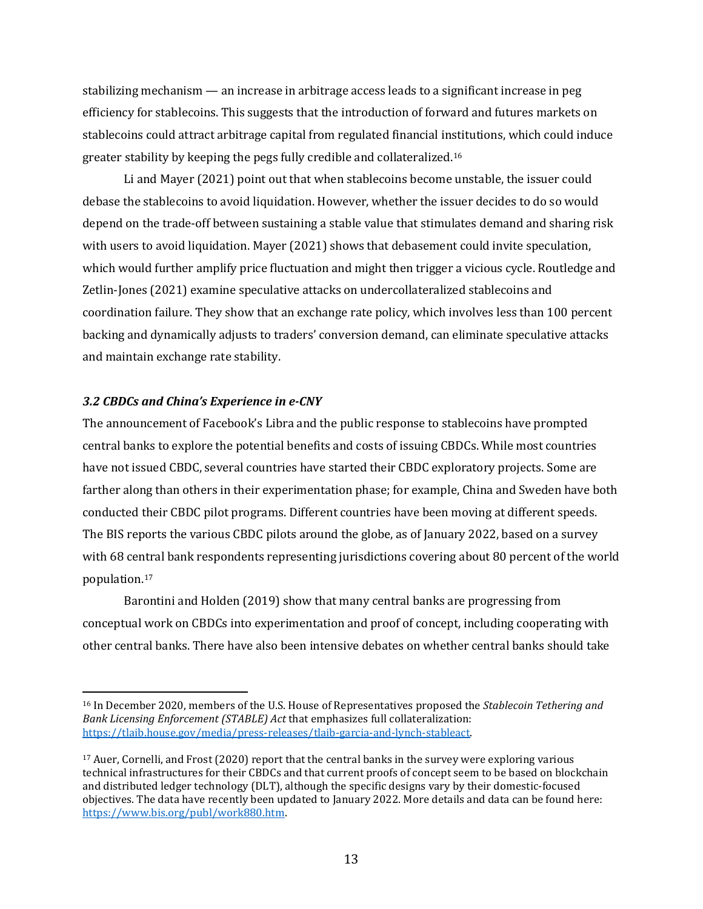stabilizing mechanism — an increase in arbitrage access leads to a significant increase in peg efficiency for stablecoins. This suggests that the introduction of forward and futures markets on stablecoins could attract arbitrage capital from regulated financial institutions, which could induce greater stability by keeping the pegs fully credible and collateralized.[16](#page-13-0) 

Li and Mayer (2021) point out that when stablecoins become unstable, the issuer could debase the stablecoins to avoid liquidation. However, whether the issuer decides to do so would depend on the trade-off between sustaining a stable value that stimulates demand and sharing risk with users to avoid liquidation. Mayer (2021) shows that debasement could invite speculation, which would further amplify price fluctuation and might then trigger a vicious cycle. Routledge and Zetlin-Jones (2021) examine speculative attacks on undercollateralized stablecoins and coordination failure. They show that an exchange rate policy, which involves less than 100 percent backing and dynamically adjusts to traders' conversion demand, can eliminate speculative attacks and maintain exchange rate stability.

## *3.2 CBDCs and China's Experience in e-CNY*

The announcement of Facebook's Libra and the public response to stablecoins have prompted central banks to explore the potential benefits and costs of issuing CBDCs. While most countries have not issued CBDC, several countries have started their CBDC exploratory projects. Some are farther along than others in their experimentation phase; for example, China and Sweden have both conducted their CBDC pilot programs. Different countries have been moving at different speeds. The BIS reports the various CBDC pilots around the globe, as of January 2022, based on a survey with 68 central bank respondents representing jurisdictions covering about 80 percent of the world population.[17](#page-13-1) 

Barontini and Holden (2019) show that many central banks are progressing from conceptual work on CBDCs into experimentation and proof of concept, including cooperating with other central banks. There have also been intensive debates on whether central banks should take

<span id="page-13-0"></span><sup>16</sup> In December 2020, members of the U.S. House of Representatives proposed the *Stablecoin Tethering and Bank Licensing Enforcement (STABLE) Act* that emphasizes full collateralization: [https://tlaib.house.gov/media/press-releases/tlaib-garcia-and-lynch-stableact.](https://tlaib.house.gov/media/press-releases/tlaib-garcia-and-lynch-stableact) 

<span id="page-13-1"></span><sup>&</sup>lt;sup>17</sup> Auer, Cornelli, and Frost (2020) report that the central banks in the survey were exploring various technical infrastructures for their CBDCs and that current proofs of concept seem to be based on blockchain and distributed ledger technology (DLT), although the specific designs vary by their domestic-focused objectives. The data have recently been updated to January 2022. More details and data can be found here: [https://www.bis.org/publ/work880.htm.](https://www.bis.org/publ/work880.htm)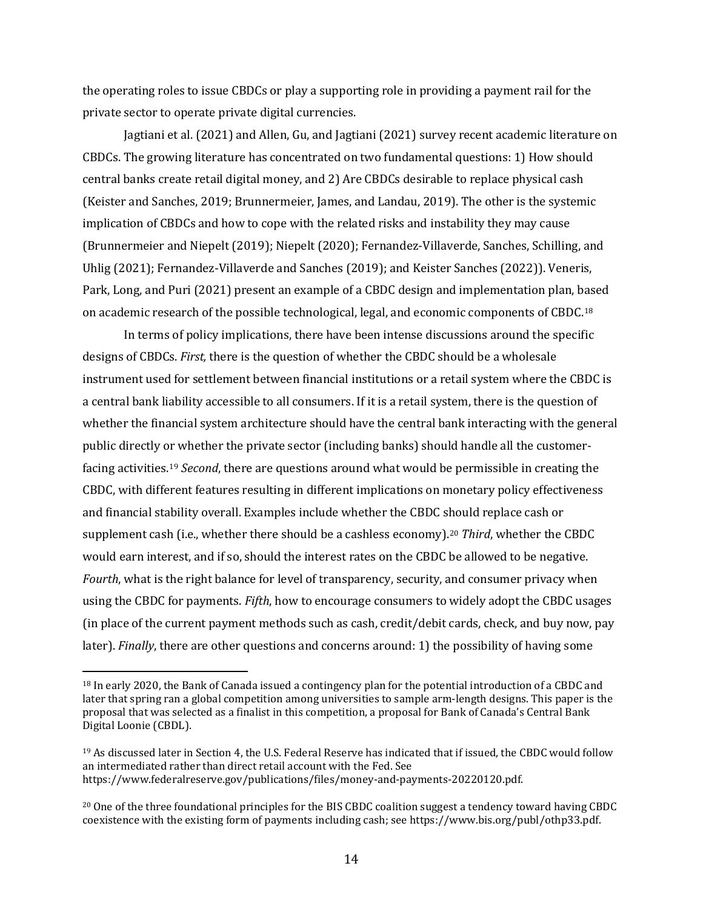the operating roles to issue CBDCs or play a supporting role in providing a payment rail for the private sector to operate private digital currencies.

Jagtiani et al. (2021) and Allen, Gu, and Jagtiani (2021) survey recent academic literature on CBDCs. The growing literature has concentrated on two fundamental questions: 1) How should central banks create retail digital money, and 2) Are CBDCs desirable to replace physical cash (Keister and Sanches, 2019; Brunnermeier, James, and Landau, 2019). The other is the systemic implication of CBDCs and how to cope with the related risks and instability they may cause (Brunnermeier and Niepelt (2019); Niepelt (2020); Fernandez-Villaverde, Sanches, Schilling, and Uhlig (2021); Fernandez-Villaverde and Sanches (2019); and Keister Sanches (2022)). Veneris, Park, Long, and Puri (2021) present an example of a CBDC design and implementation plan, based on academic research of the possible technological, legal, and economic components of CBDC.[18](#page-14-0)

In terms of policy implications, there have been intense discussions around the specific designs of CBDCs. *First,* there is the question of whether the CBDC should be a wholesale instrument used for settlement between financial institutions or a retail system where the CBDC is a central bank liability accessible to all consumers. If it is a retail system, there is the question of whether the financial system architecture should have the central bank interacting with the general public directly or whether the private sector (including banks) should handle all the customerfacing activities. [19](#page-14-1) *Second*, there are questions around what would be permissible in creating the CBDC, with different features resulting in different implications on monetary policy effectiveness and financial stability overall. Examples include whether the CBDC should replace cash or supplement cash (i.e., whether there should be a cashless economy). [20](#page-14-2) *Third*, whether the CBDC would earn interest, and if so, should the interest rates on the CBDC be allowed to be negative. *Fourth*, what is the right balance for level of transparency, security, and consumer privacy when using the CBDC for payments. *Fifth*, how to encourage consumers to widely adopt the CBDC usages (in place of the current payment methods such as cash, credit/debit cards, check, and buy now, pay later). *Finally*, there are other questions and concerns around: 1) the possibility of having some

<span id="page-14-0"></span><sup>18</sup> In early 2020, the Bank of Canada issued a contingency plan for the potential introduction of a CBDC and later that spring ran a global competition among universities to sample arm-length designs. This paper is the proposal that was selected as a finalist in this competition, a proposal for Bank of Canada's Central Bank Digital Loonie (CBDL).

<span id="page-14-1"></span><sup>&</sup>lt;sup>19</sup> As discussed later in Section 4, the U.S. Federal Reserve has indicated that if issued, the CBDC would follow an intermediated rather than direct retail account with the Fed. See https://www.federalreserve.gov/publications/files/money-and-payments-20220120.pdf.

<span id="page-14-2"></span><sup>20</sup> One of the three foundational principles for the BIS CBDC coalition suggest a tendency toward having CBDC coexistence with the existing form of payments including cash; see https://www.bis.org/publ/othp33.pdf.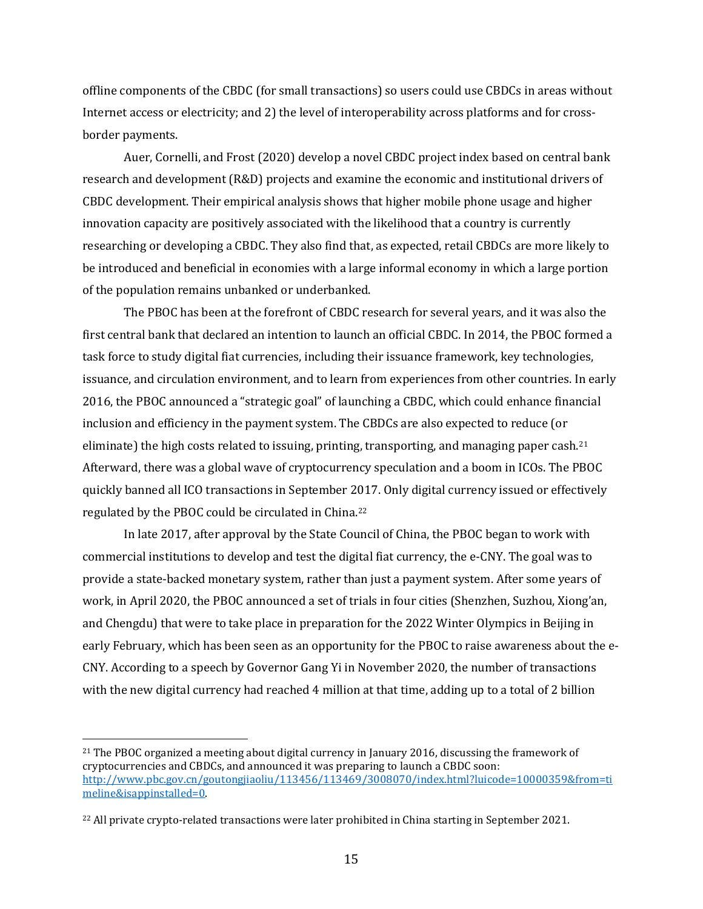offline components of the CBDC (for small transactions) so users could use CBDCs in areas without Internet access or electricity; and 2) the level of interoperability across platforms and for crossborder payments.

Auer, Cornelli, and Frost (2020) develop a novel CBDC project index based on central bank research and development (R&D) projects and examine the economic and institutional drivers of CBDC development. Their empirical analysis shows that higher mobile phone usage and higher innovation capacity are positively associated with the likelihood that a country is currently researching or developing a CBDC. They also find that, as expected, retail CBDCs are more likely to be introduced and beneficial in economies with a large informal economy in which a large portion of the population remains unbanked or underbanked.

The PBOC has been at the forefront of CBDC research for several years, and it was also the first central bank that declared an intention to launch an official CBDC. In 2014, the PBOC formed a task force to study digital fiat currencies, including their issuance framework, key technologies, issuance, and circulation environment, and to learn from experiences from other countries. In early 2016, the PBOC announced a "strategic goal" of launching a CBDC, which could enhance financial inclusion and efficiency in the payment system. The CBDCs are also expected to reduce (or eliminate) the high costs related to issuing, printing, transporting, and managing paper cash.<sup>[21](#page-15-0)</sup> Afterward, there was a global wave of cryptocurrency speculation and a boom in ICOs. The PBOC quickly banned all ICO transactions in September 2017. Only digital currency issued or effectively regulated by the PBOC could be circulated in China.[22](#page-15-1)

In late 2017, after approval by the State Council of China, the PBOC began to work with commercial institutions to develop and test the digital fiat currency, the e-CNY. The goal was to provide a state-backed monetary system, rather than just a payment system. After some years of work, in April 2020, the PBOC announced a set of trials in four cities (Shenzhen, Suzhou, Xiong'an, and Chengdu) that were to take place in preparation for the 2022 Winter Olympics in Beijing in early February, which has been seen as an opportunity for the PBOC to raise awareness about the e-CNY. According to a speech by Governor Gang Yi in November 2020, the number of transactions with the new digital currency had reached 4 million at that time, adding up to a total of 2 billion

<span id="page-15-0"></span><sup>&</sup>lt;sup>21</sup> The PBOC organized a meeting about digital currency in January 2016, discussing the framework of cryptocurrencies and CBDCs, and announced it was preparing to launch a CBDC soon: [http://www.pbc.gov.cn/goutongjiaoliu/113456/113469/3008070/index.html?luicode=10000359&from=ti](http://www.pbc.gov.cn/goutongjiaoliu/113456/113469/3008070/index.html?luicode=10000359&from=timeline&isappinstalled=0) [meline&isappinstalled=0.](http://www.pbc.gov.cn/goutongjiaoliu/113456/113469/3008070/index.html?luicode=10000359&from=timeline&isappinstalled=0) 

<span id="page-15-1"></span><sup>&</sup>lt;sup>22</sup> All private crypto-related transactions were later prohibited in China starting in September 2021.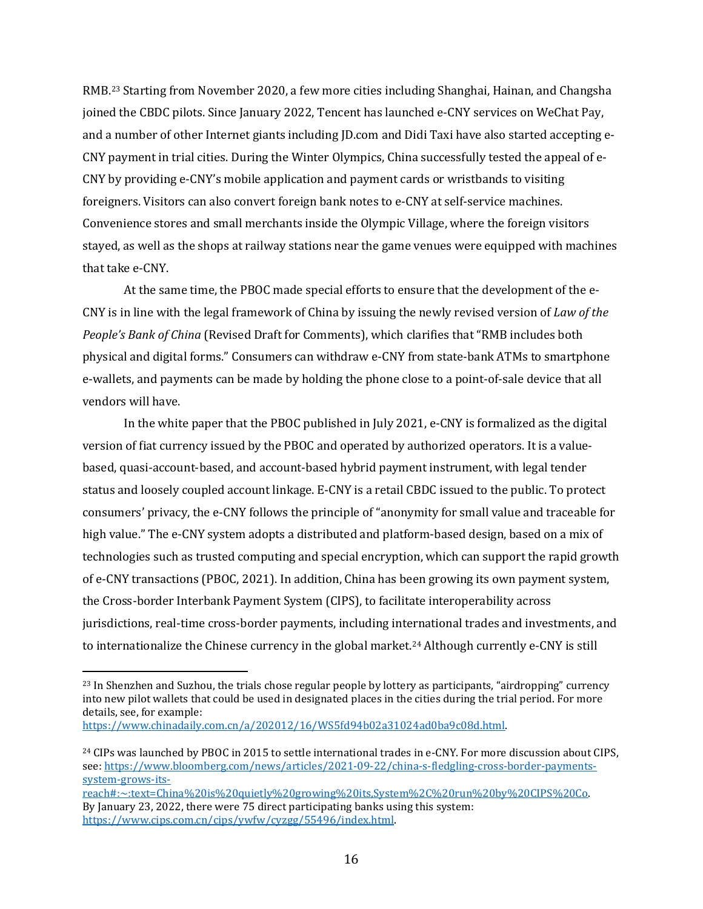RMB.[23](#page-16-0) Starting from November 2020, a few more cities including Shanghai, Hainan, and Changsha joined the CBDC pilots. Since January 2022, Tencent has launched e-CNY services on WeChat Pay, and a number of other Internet giants including JD.com and Didi Taxi have also started accepting e-CNY payment in trial cities. During the Winter Olympics, China successfully tested the appeal of e-CNY by providing e-CNY's mobile application and payment cards or wristbands to visiting foreigners. Visitors can also convert foreign bank notes to e-CNY at self-service machines. Convenience stores and small merchants inside the Olympic Village, where the foreign visitors stayed, as well as the shops at railway stations near the game venues were equipped with machines that take e-CNY.

At the same time, the PBOC made special efforts to ensure that the development of the e-CNY is in line with the legal framework of China by issuing the newly revised version of *Law of the People's Bank of China* (Revised Draft for Comments), which clarifies that "RMB includes both physical and digital forms." Consumers can withdraw e-CNY from state-bank ATMs to smartphone e-wallets, and payments can be made by holding the phone close to a point-of-sale device that all vendors will have.

In the white paper that the PBOC published in July 2021, e-CNY is formalized as the digital version of fiat currency issued by the PBOC and operated by authorized operators. It is a valuebased, quasi-account-based, and account-based hybrid payment instrument, with legal tender status and loosely coupled account linkage. E-CNY is a retail CBDC issued to the public. To protect consumers' privacy, the e-CNY follows the principle of "anonymity for small value and traceable for high value." The e-CNY system adopts a distributed and platform-based design, based on a mix of technologies such as trusted computing and special encryption, which can support the rapid growth of e-CNY transactions (PBOC, 2021). In addition, China has been growing its own payment system, the Cross-border Interbank Payment System (CIPS), to facilitate interoperability across jurisdictions, real-time cross-border payments, including international trades and investments, and to internationalize the Chinese currency in the global market.[24](#page-16-1) Although currently e-CNY is still

[https://www.chinadaily.com.cn/a/202012/16/WS5fd94b02a31024ad0ba9c08d.html.](https://www.chinadaily.com.cn/a/202012/16/WS5fd94b02a31024ad0ba9c08d.html) 

<span id="page-16-0"></span><sup>&</sup>lt;sup>23</sup> In Shenzhen and Suzhou, the trials chose regular people by lottery as participants, "airdropping" currency into new pilot wallets that could be used in designated places in the cities during the trial period. For more details, see, for example:

<span id="page-16-1"></span><sup>&</sup>lt;sup>24</sup> CIPs was launched by PBOC in 2015 to settle international trades in e-CNY. For more discussion about CIPS, [see: https://www.bloomberg.com/news/articles/2021-09-22/china-s-fledgling-cross-border-payments](https://www.bloomberg.com/news/articles/2021-09-22/china-s-fledgling-cross-border-payments-system-grows-its-reach#:%7E:text=China%20is%20quietly%20growing%20its,System%2C%20run%20by%20CIPS%20Co)system-grows-its-

[reach#:~:text=China%20is%20quietly%20growing%20its,System%2C%20run%20by%20CIPS%20Co.](https://www.bloomberg.com/news/articles/2021-09-22/china-s-fledgling-cross-border-payments-system-grows-its-reach#:%7E:text=China%20is%20quietly%20growing%20its,System%2C%20run%20by%20CIPS%20Co)  By January 23, 2022, there were 75 direct participating banks using this system: [https://www.cips.com.cn/cips/ywfw/cyzgg/55496/index.html.](https://www.cips.com.cn/cips/ywfw/cyzgg/55496/index.html)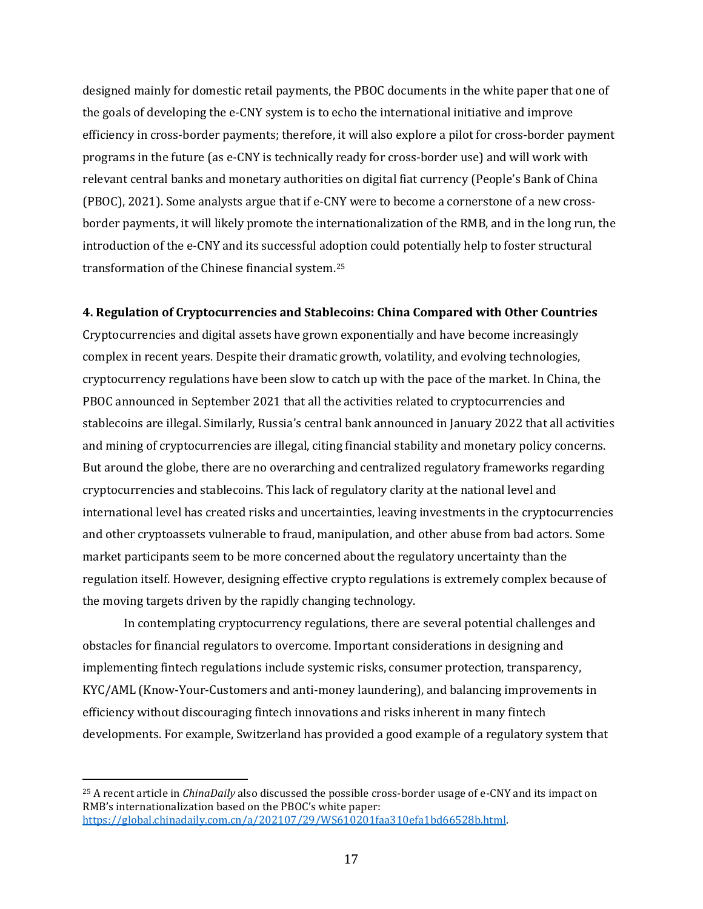designed mainly for domestic retail payments, the PBOC documents in the white paper that one of the goals of developing the e-CNY system is to echo the international initiative and improve efficiency in cross-border payments; therefore, it will also explore a pilot for cross-border payment programs in the future (as e-CNY is technically ready for cross-border use) and will work with relevant central banks and monetary authorities on digital fiat currency (People's Bank of China (PBOC), 2021). Some analysts argue that if e-CNY were to become a cornerstone of a new crossborder payments, it will likely promote the internationalization of the RMB, and in the long run, the introduction of the e-CNY and its successful adoption could potentially help to foster structural transformation of the Chinese financial system.[25](#page-17-0) 

## **4. Regulation of Cryptocurrencies and Stablecoins: China Compared with Other Countries**

Cryptocurrencies and digital assets have grown exponentially and have become increasingly complex in recent years. Despite their dramatic growth, volatility, and evolving technologies, cryptocurrency regulations have been slow to catch up with the pace of the market. In China, the PBOC announced in September 2021 that all the activities related to cryptocurrencies and stablecoins are illegal. Similarly, Russia's central bank announced in January 2022 that all activities and mining of cryptocurrencies are illegal, citing financial stability and monetary policy concerns. But around the globe, there are no overarching and centralized regulatory frameworks regarding cryptocurrencies and stablecoins. This lack of regulatory clarity at the national level and international level has created risks and uncertainties, leaving investments in the cryptocurrencies and other cryptoassets vulnerable to fraud, manipulation, and other abuse from bad actors. Some market participants seem to be more concerned about the regulatory uncertainty than the regulation itself. However, designing effective crypto regulations is extremely complex because of the moving targets driven by the rapidly changing technology.

In contemplating cryptocurrency regulations, there are several potential challenges and obstacles for financial regulators to overcome. Important considerations in designing and implementing fintech regulations include systemic risks, consumer protection, transparency, KYC/AML (Know-Your-Customers and anti-money laundering), and balancing improvements in efficiency without discouraging fintech innovations and risks inherent in many fintech developments. For example, Switzerland has provided a good example of a regulatory system that

<span id="page-17-0"></span><sup>25</sup> A recent article in *ChinaDaily* also discussed the possible cross-border usage of e-CNY and its impact on RMB's internationalization based on the PBOC's white paper: [https://global.chinadaily.com.cn/a/202107/29/WS610201faa310efa1bd66528b.html.](https://global.chinadaily.com.cn/a/202107/29/WS610201faa310efa1bd66528b.html)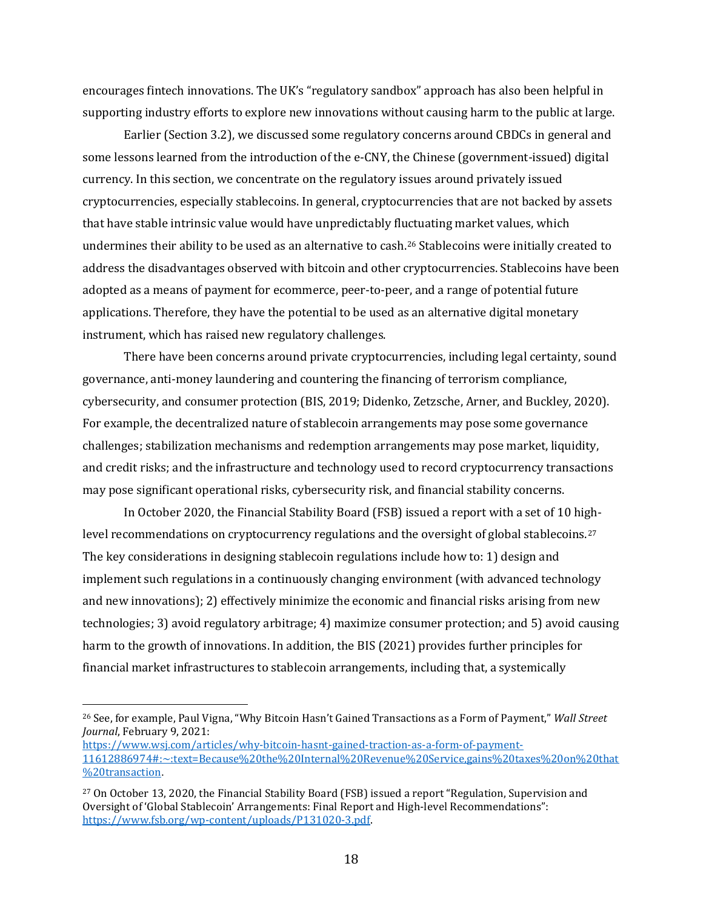encourages fintech innovations. The UK's "regulatory sandbox" approach has also been helpful in supporting industry efforts to explore new innovations without causing harm to the public at large.

Earlier (Section 3.2), we discussed some regulatory concerns around CBDCs in general and some lessons learned from the introduction of the e-CNY, the Chinese (government-issued) digital currency. In this section, we concentrate on the regulatory issues around privately issued cryptocurrencies, especially stablecoins. In general, cryptocurrencies that are not backed by assets that have stable intrinsic value would have unpredictably fluctuating market values, which undermines their ability to be used as an alternative to cash.[26](#page-18-0) Stablecoins were initially created to address the disadvantages observed with bitcoin and other cryptocurrencies. Stablecoins have been adopted as a means of payment for ecommerce, peer-to-peer, and a range of potential future applications. Therefore, they have the potential to be used as an alternative digital monetary instrument, which has raised new regulatory challenges.

There have been concerns around private cryptocurrencies, including legal certainty, sound governance, anti-money laundering and countering the financing of terrorism compliance, cybersecurity, and consumer protection (BIS, 2019; Didenko, Zetzsche, Arner, and Buckley, 2020). For example, the decentralized nature of stablecoin arrangements may pose some governance challenges; stabilization mechanisms and redemption arrangements may pose market, liquidity, and credit risks; and the infrastructure and technology used to record cryptocurrency transactions may pose significant operational risks, cybersecurity risk, and financial stability concerns.

In October 2020, the Financial Stability Board (FSB) issued a report with a set of 10 high-level recommendations on cryptocurrency regulations and the oversight of global stablecoins.<sup>[27](#page-18-1)</sup> The key considerations in designing stablecoin regulations include how to: 1) design and implement such regulations in a continuously changing environment (with advanced technology and new innovations); 2) effectively minimize the economic and financial risks arising from new technologies; 3) avoid regulatory arbitrage; 4) maximize consumer protection; and 5) avoid causing harm to the growth of innovations. In addition, the BIS (2021) provides further principles for financial market infrastructures to stablecoin arrangements, including that, a systemically

<span id="page-18-0"></span><sup>26</sup> See, for example, Paul Vigna, "Why Bitcoin Hasn't Gained Transactions as a Form of Payment," *Wall Street Journal*, February 9, 2021:

[https://www.wsj.com/articles/why-bitcoin-hasnt-gained-traction-as-a-form-of-payment-](https://www.wsj.com/articles/why-bitcoin-hasnt-gained-traction-as-a-form-of-payment-11612886974#:%7E:text=Because%20the%20Internal%20Revenue%20Service,gains%20taxes%20on%20that%20transaction)[11612886974#:~:text=Because%20the%20Internal%20Revenue%20Service,gains%20taxes%20on%20that](https://www.wsj.com/articles/why-bitcoin-hasnt-gained-traction-as-a-form-of-payment-11612886974#:%7E:text=Because%20the%20Internal%20Revenue%20Service,gains%20taxes%20on%20that%20transaction) [%20transaction](https://www.wsj.com/articles/why-bitcoin-hasnt-gained-traction-as-a-form-of-payment-11612886974#:%7E:text=Because%20the%20Internal%20Revenue%20Service,gains%20taxes%20on%20that%20transaction).

<span id="page-18-1"></span><sup>&</sup>lt;sup>27</sup> On October 13, 2020, the Financial Stability Board (FSB) issued a report "Regulation, Supervision and Oversight of 'Global Stablecoin' Arrangements: Final Report and High-level Recommendations": [https://www.fsb.org/wp-content/uploads/P131020-3.pdf.](https://www.fsb.org/wp-content/uploads/P131020-3.pdf)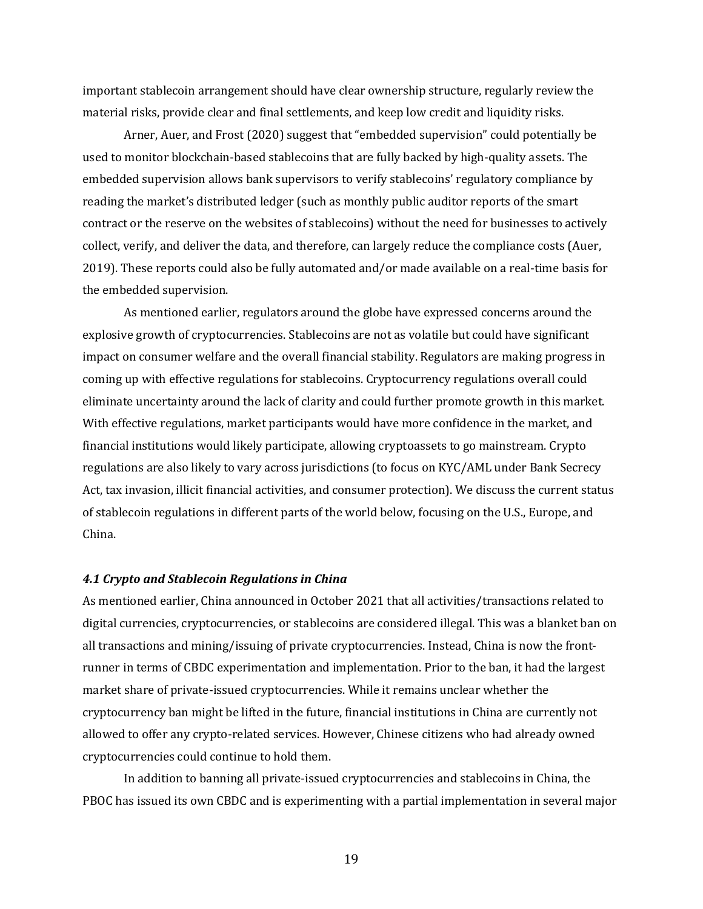important stablecoin arrangement should have clear ownership structure, regularly review the material risks, provide clear and final settlements, and keep low credit and liquidity risks.

Arner, Auer, and Frost (2020) suggest that "embedded supervision" could potentially be used to monitor blockchain-based stablecoins that are fully backed by high-quality assets. The embedded supervision allows bank supervisors to verify stablecoins' regulatory compliance by reading the market's distributed ledger (such as monthly public auditor reports of the smart contract or the reserve on the websites of stablecoins) without the need for businesses to actively collect, verify, and deliver the data, and therefore, can largely reduce the compliance costs (Auer, 2019). These reports could also be fully automated and/or made available on a real-time basis for the embedded supervision.

As mentioned earlier, regulators around the globe have expressed concerns around the explosive growth of cryptocurrencies. Stablecoins are not as volatile but could have significant impact on consumer welfare and the overall financial stability. Regulators are making progress in coming up with effective regulations for stablecoins. Cryptocurrency regulations overall could eliminate uncertainty around the lack of clarity and could further promote growth in this market. With effective regulations, market participants would have more confidence in the market, and financial institutions would likely participate, allowing cryptoassets to go mainstream. Crypto regulations are also likely to vary across jurisdictions (to focus on KYC/AML under Bank Secrecy Act, tax invasion, illicit financial activities, and consumer protection). We discuss the current status of stablecoin regulations in different parts of the world below, focusing on the U.S., Europe, and China.

#### *4.1 Crypto and Stablecoin Regulations in China*

As mentioned earlier, China announced in October 2021 that all activities/transactions related to digital currencies, cryptocurrencies, or stablecoins are considered illegal. This was a blanket ban on all transactions and mining/issuing of private cryptocurrencies. Instead, China is now the frontrunner in terms of CBDC experimentation and implementation. Prior to the ban, it had the largest market share of private-issued cryptocurrencies. While it remains unclear whether the cryptocurrency ban might be lifted in the future, financial institutions in China are currently not allowed to offer any crypto-related services. However, Chinese citizens who had already owned cryptocurrencies could continue to hold them.

In addition to banning all private-issued cryptocurrencies and stablecoins in China, the PBOC has issued its own CBDC and is experimenting with a partial implementation in several major

19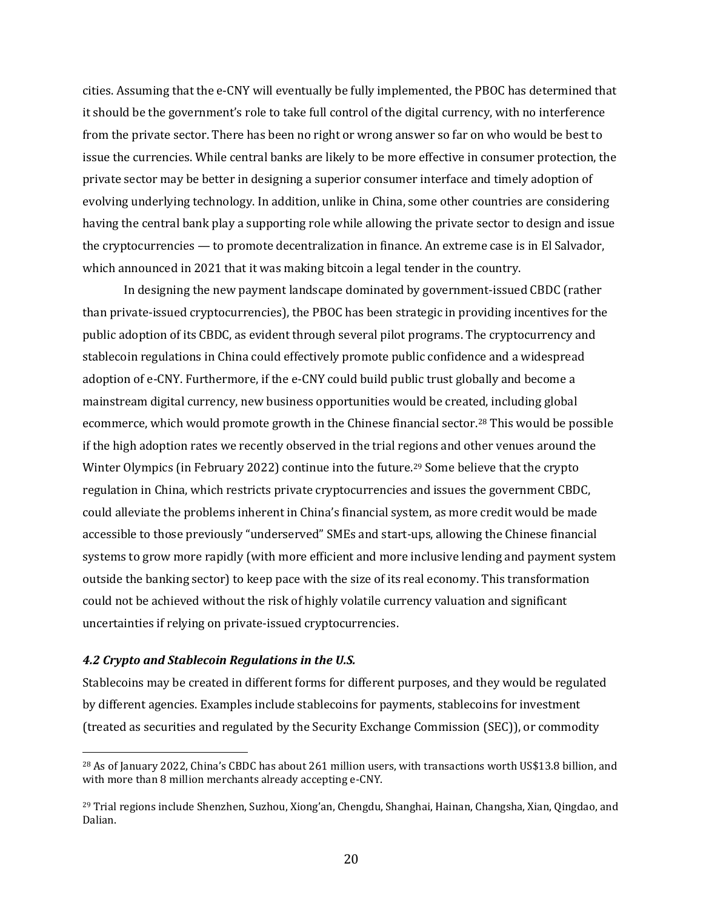cities. Assuming that the e-CNY will eventually be fully implemented, the PBOC has determined that it should be the government's role to take full control of the digital currency, with no interference from the private sector. There has been no right or wrong answer so far on who would be best to issue the currencies. While central banks are likely to be more effective in consumer protection, the private sector may be better in designing a superior consumer interface and timely adoption of evolving underlying technology. In addition, unlike in China, some other countries are considering having the central bank play a supporting role while allowing the private sector to design and issue the cryptocurrencies — to promote decentralization in finance. An extreme case is in El Salvador, which announced in 2021 that it was making bitcoin a legal tender in the country.

In designing the new payment landscape dominated by government-issued CBDC (rather than private-issued cryptocurrencies), the PBOC has been strategic in providing incentives for the public adoption of its CBDC, as evident through several pilot programs. The cryptocurrency and stablecoin regulations in China could effectively promote public confidence and a widespread adoption of e-CNY. Furthermore, if the e-CNY could build public trust globally and become a mainstream digital currency, new business opportunities would be created, including global ecommerce, which would promote growth in the Chinese financial sector.[28](#page-20-0) This would be possible if the high adoption rates we recently observed in the trial regions and other venues around the Winter Olympics (in February 2022) continue into the future.<sup>[29](#page-20-1)</sup> Some believe that the crypto regulation in China, which restricts private cryptocurrencies and issues the government CBDC, could alleviate the problems inherent in China's financial system, as more credit would be made accessible to those previously "underserved" SMEs and start-ups, allowing the Chinese financial systems to grow more rapidly (with more efficient and more inclusive lending and payment system outside the banking sector) to keep pace with the size of its real economy. This transformation could not be achieved without the risk of highly volatile currency valuation and significant uncertainties if relying on private-issued cryptocurrencies.

#### *4.2 Crypto and Stablecoin Regulations in the U.S.*

Stablecoins may be created in different forms for different purposes, and they would be regulated by different agencies. Examples include stablecoins for payments, stablecoins for investment (treated as securities and regulated by the Security Exchange Commission (SEC)), or commodity

<span id="page-20-0"></span><sup>28</sup> As of January 2022, China's CBDC has about 261 million users, with transactions worth US\$13.8 billion, and with more than 8 million merchants already accepting e-CNY.

<span id="page-20-1"></span><sup>29</sup> Trial regions include Shenzhen, Suzhou, Xiong'an, Chengdu, Shanghai, Hainan, Changsha, Xian, Qingdao, and Dalian.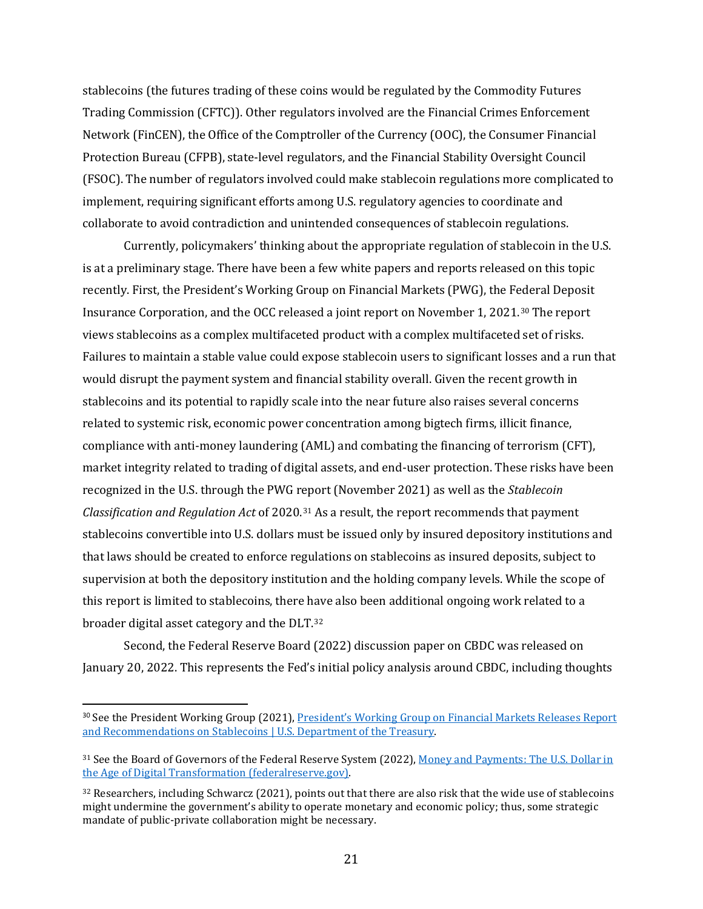stablecoins (the futures trading of these coins would be regulated by the Commodity Futures Trading Commission (CFTC)). Other regulators involved are the Financial Crimes Enforcement Network (FinCEN), the Office of the Comptroller of the Currency (OOC), the Consumer Financial Protection Bureau (CFPB), state-level regulators, and the Financial Stability Oversight Council (FSOC). The number of regulators involved could make stablecoin regulations more complicated to implement, requiring significant efforts among U.S. regulatory agencies to coordinate and collaborate to avoid contradiction and unintended consequences of stablecoin regulations.

Currently, policymakers' thinking about the appropriate regulation of stablecoin in the U.S. is at a preliminary stage. There have been a few white papers and reports released on this topic recently. First, the President's Working Group on Financial Markets (PWG), the Federal Deposit Insurance Corporation, and the OCC released a joint report on November 1, 2021.[30](#page-21-0) The report views stablecoins as a complex multifaceted product with a complex multifaceted set of risks. Failures to maintain a stable value could expose stablecoin users to significant losses and a run that would disrupt the payment system and financial stability overall. Given the recent growth in stablecoins and its potential to rapidly scale into the near future also raises several concerns related to systemic risk, economic power concentration among bigtech firms, illicit finance, compliance with anti-money laundering (AML) and combating the financing of terrorism (CFT), market integrity related to trading of digital assets, and end-user protection. These risks have been recognized in the U.S. through the PWG report (November 2021) as well as the *Stablecoin Classification and Regulation Act* of 2020.[31](#page-21-1) As a result, the report recommends that payment stablecoins convertible into U.S. dollars must be issued only by insured depository institutions and that laws should be created to enforce regulations on stablecoins as insured deposits, subject to supervision at both the depository institution and the holding company levels. While the scope of this report is limited to stablecoins, there have also been additional ongoing work related to a broader digital asset category and the DLT.[32](#page-21-2)

Second, the Federal Reserve Board (2022) discussion paper on CBDC was released on January 20, 2022. This represents the Fed's initial policy analysis around CBDC, including thoughts

<span id="page-21-0"></span><sup>30</sup> See the President Working Group (2021)[, President's Working Group on Financial Markets Releases Report](https://home.treasury.gov/news/press-releases/jy0454)  [and Recommendations on Stablecoins | U.S. Department of the Treasury.](https://home.treasury.gov/news/press-releases/jy0454) 

<span id="page-21-1"></span><sup>31</sup> See the Board of Governors of the Federal Reserve System (2022), [Money and Payments: The U.S. Dollar in](https://www.federalreserve.gov/publications/files/money-and-payments-20220120.pdf)  [the Age of Digital Transformation \(federalreserve.gov\).](https://www.federalreserve.gov/publications/files/money-and-payments-20220120.pdf)

<span id="page-21-2"></span><sup>32</sup> Researchers, including Schwarcz (2021), points out that there are also risk that the wide use of stablecoins might undermine the government's ability to operate monetary and economic policy; thus, some strategic mandate of public-private collaboration might be necessary.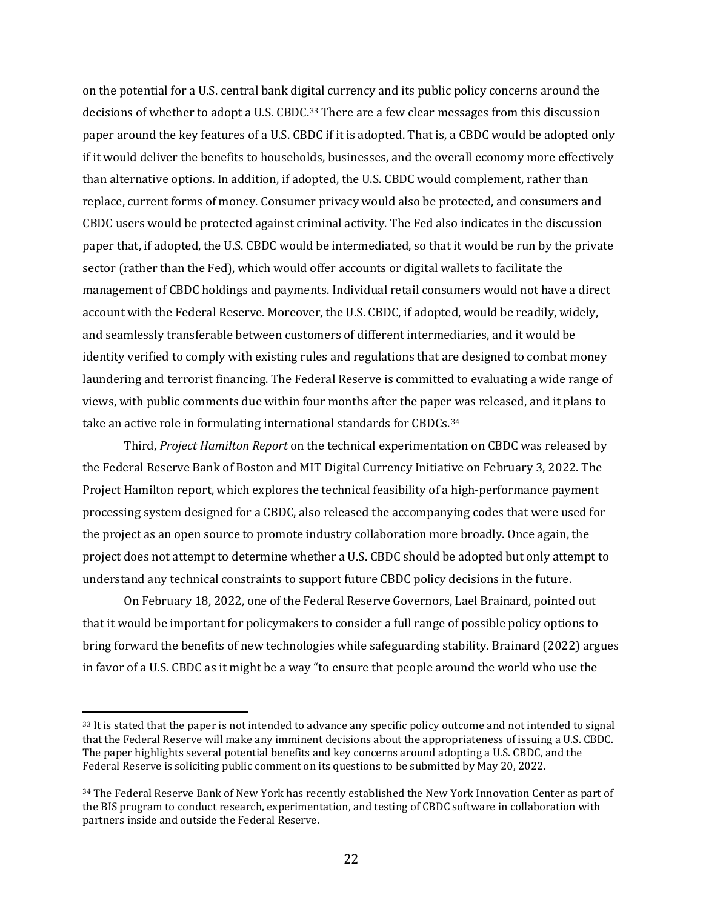on the potential for a U.S. central bank digital currency and its public policy concerns around the decisions of whether to adopt a U.S. CBDC.<sup>[33](#page-22-0)</sup> There are a few clear messages from this discussion paper around the key features of a U.S. CBDC if it is adopted. That is, a CBDC would be adopted only if it would deliver the benefits to households, businesses, and the overall economy more effectively than alternative options. In addition, if adopted, the U.S. CBDC would complement, rather than replace, current forms of money. Consumer privacy would also be protected, and consumers and CBDC users would be protected against criminal activity. The Fed also indicates in the discussion paper that, if adopted, the U.S. CBDC would be intermediated, so that it would be run by the private sector (rather than the Fed), which would offer accounts or digital wallets to facilitate the management of CBDC holdings and payments. Individual retail consumers would not have a direct account with the Federal Reserve. Moreover, the U.S. CBDC, if adopted, would be readily, widely, and seamlessly transferable between customers of different intermediaries, and it would be identity verified to comply with existing rules and regulations that are designed to combat money laundering and terrorist financing. The Federal Reserve is committed to evaluating a wide range of views, with public comments due within four months after the paper was released, and it plans to take an active role in formulating international standards for CBDCs.[34](#page-22-1)

Third, *Project Hamilton Report* on the technical experimentation on CBDC was released by the Federal Reserve Bank of Boston and MIT Digital Currency Initiative on February 3, 2022. The Project Hamilton report, which explores the technical feasibility of a high-performance payment processing system designed for a CBDC, also released the accompanying codes that were used for the project as an open source to promote industry collaboration more broadly. Once again, the project does not attempt to determine whether a U.S. CBDC should be adopted but only attempt to understand any technical constraints to support future CBDC policy decisions in the future.

On February 18, 2022, one of the Federal Reserve Governors, Lael Brainard, pointed out that it would be important for policymakers to consider a full range of possible policy options to bring forward the benefits of new technologies while safeguarding stability. Brainard (2022) argues in favor of a U.S. CBDC as it might be a way "to ensure that people around the world who use the

<span id="page-22-0"></span><sup>&</sup>lt;sup>33</sup> It is stated that the paper is not intended to advance any specific policy outcome and not intended to signal that the Federal Reserve will make any imminent decisions about the appropriateness of issuing a U.S. CBDC. The paper highlights several potential benefits and key concerns around adopting a U.S. CBDC, and the Federal Reserve is soliciting public comment on its questions to be submitted by May 20, 2022.

<span id="page-22-1"></span><sup>&</sup>lt;sup>34</sup> The Federal Reserve Bank of New York has recently established the New York Innovation Center as part of the BIS program to conduct research, experimentation, and testing of CBDC software in collaboration with partners inside and outside the Federal Reserve.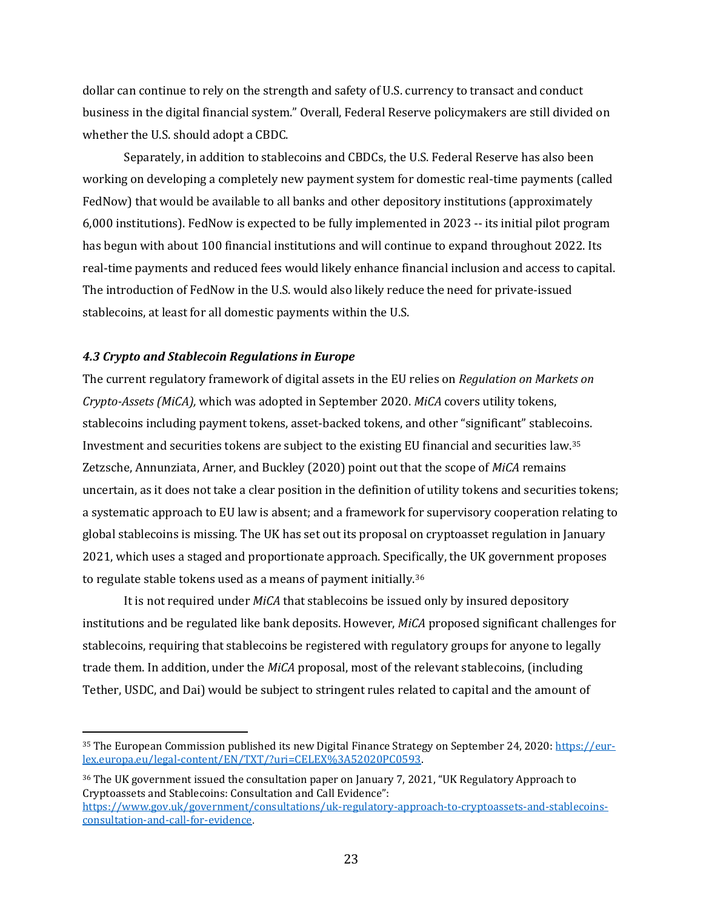dollar can continue to rely on the strength and safety of U.S. currency to transact and conduct business in the digital financial system." Overall, Federal Reserve policymakers are still divided on whether the U.S. should adopt a CBDC.

Separately, in addition to stablecoins and CBDCs, the U.S. Federal Reserve has also been working on developing a completely new payment system for domestic real-time payments (called FedNow) that would be available to all banks and other depository institutions (approximately 6,000 institutions). FedNow is expected to be fully implemented in 2023 -- its initial pilot program has begun with about 100 financial institutions and will continue to expand throughout 2022. Its real-time payments and reduced fees would likely enhance financial inclusion and access to capital. The introduction of FedNow in the U.S. would also likely reduce the need for private-issued stablecoins, at least for all domestic payments within the U.S.

## *4.3 Crypto and Stablecoin Regulations in Europe*

The current regulatory framework of digital assets in the EU relies on *Regulation on Markets on Crypto-Assets (MiCA),* which was adopted in September 2020. *MiCA* covers utility tokens, stablecoins including payment tokens, asset-backed tokens, and other "significant" stablecoins. Investment and securities tokens are subject to the existing EU financial and securities law.[35](#page-23-0) Zetzsche, Annunziata, Arner, and Buckley (2020) point out that the scope of *MiCA* remains uncertain, as it does not take a clear position in the definition of utility tokens and securities tokens; a systematic approach to EU law is absent; and a framework for supervisory cooperation relating to global stablecoins is missing. The UK has set out its proposal on cryptoasset regulation in January 2021, which uses a staged and proportionate approach. Specifically, the UK government proposes to regulate stable tokens used as a means of payment initially.[36](#page-23-1)

It is not required under *MiCA* that stablecoins be issued only by insured depository institutions and be regulated like bank deposits. However, *MiCA* proposed significant challenges for stablecoins, requiring that stablecoins be registered with regulatory groups for anyone to legally trade them. In addition, under the *MiCA* proposal, most of the relevant stablecoins, (including Tether, USDC, and Dai) would be subject to stringent rules related to capital and the amount of

<span id="page-23-0"></span><sup>35</sup> The European Commission published its new Digital Finance Strategy on September 24, 2020: [https://eur](https://eur-lex.europa.eu/legal-content/EN/TXT/?uri=CELEX%3A52020PC0593)[lex.europa.eu/legal-content/EN/TXT/?uri=CELEX%3A52020PC0593.](https://eur-lex.europa.eu/legal-content/EN/TXT/?uri=CELEX%3A52020PC0593)

<span id="page-23-1"></span><sup>36</sup> The UK government issued the consultation paper on January 7, 2021, "UK Regulatory Approach to Cryptoassets and Stablecoins: Consultation and Call Evidence": [https://www.gov.uk/government/consultations/uk-regulatory-approach-to-cryptoassets-and-stablecoins](https://www.gov.uk/government/consultations/uk-regulatory-approach-to-cryptoassets-and-stablecoins-consultation-and-call-for-evidence)[consultation-and-call-for-evidence](https://www.gov.uk/government/consultations/uk-regulatory-approach-to-cryptoassets-and-stablecoins-consultation-and-call-for-evidence).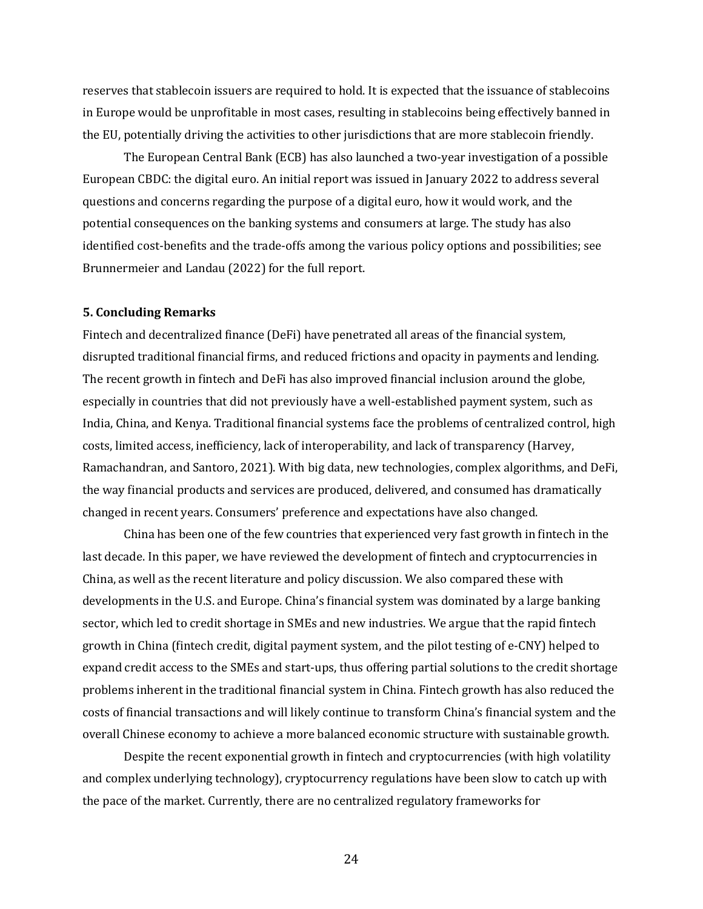reserves that stablecoin issuers are required to hold. It is expected that the issuance of stablecoins in Europe would be unprofitable in most cases, resulting in stablecoins being effectively banned in the EU, potentially driving the activities to other jurisdictions that are more stablecoin friendly.

The European Central Bank (ECB) has also launched a two-year investigation of a possible European CBDC: the digital euro. An initial report was issued in January 2022 to address several questions and concerns regarding the purpose of a digital euro, how it would work, and the potential consequences on the banking systems and consumers at large. The study has also identified cost-benefits and the trade-offs among the various policy options and possibilities; see Brunnermeier and Landau (2022) for the full report.

#### **5. Concluding Remarks**

Fintech and decentralized finance (DeFi) have penetrated all areas of the financial system, disrupted traditional financial firms, and reduced frictions and opacity in payments and lending. The recent growth in fintech and DeFi has also improved financial inclusion around the globe, especially in countries that did not previously have a well-established payment system, such as India, China, and Kenya. Traditional financial systems face the problems of centralized control, high costs, limited access, inefficiency, lack of interoperability, and lack of transparency (Harvey, Ramachandran, and Santoro, 2021). With big data, new technologies, complex algorithms, and DeFi, the way financial products and services are produced, delivered, and consumed has dramatically changed in recent years. Consumers' preference and expectations have also changed.

China has been one of the few countries that experienced very fast growth in fintech in the last decade. In this paper, we have reviewed the development of fintech and cryptocurrencies in China, as well as the recent literature and policy discussion. We also compared these with developments in the U.S. and Europe. China's financial system was dominated by a large banking sector, which led to credit shortage in SMEs and new industries. We argue that the rapid fintech growth in China (fintech credit, digital payment system, and the pilot testing of e-CNY) helped to expand credit access to the SMEs and start-ups, thus offering partial solutions to the credit shortage problems inherent in the traditional financial system in China. Fintech growth has also reduced the costs of financial transactions and will likely continue to transform China's financial system and the overall Chinese economy to achieve a more balanced economic structure with sustainable growth.

Despite the recent exponential growth in fintech and cryptocurrencies (with high volatility and complex underlying technology), cryptocurrency regulations have been slow to catch up with the pace of the market. Currently, there are no centralized regulatory frameworks for

24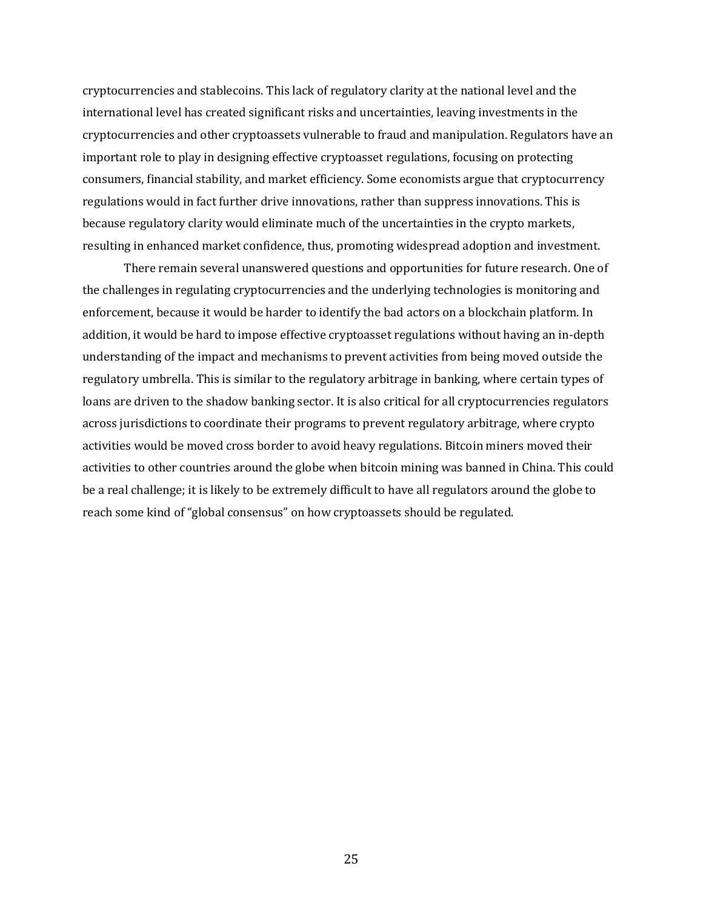cryptocurrencies and stablecoins. This lack of regulatory clarity at the national level and the international level has created significant risks and uncertainties, leaving investments in the cryptocurrencies and other cryptoassets vulnerable to fraud and manipulation. Regulators have an important role to play in designing effective cryptoasset regulations, focusing on protecting consumers, financial stability, and market efficiency. Some economists argue that cryptocurrency regulations would in fact further drive innovations, rather than suppress innovations. This is because regulatory clarity would eliminate much of the uncertainties in the crypto markets, resulting in enhanced market confidence, thus, promoting widespread adoption and investment.

There remain several unanswered questions and opportunities for future research. One of the challenges in regulating cryptocurrencies and the underlying technologies is monitoring and enforcement, because it would be harder to identify the bad actors on a blockchain platform. In addition, it would be hard to impose effective cryptoasset regulations without having an in-depth understanding of the impact and mechanisms to prevent activities from being moved outside the regulatory umbrella. This is similar to the regulatory arbitrage in banking, where certain types of loans are driven to the shadow banking sector. It is also critical for all cryptocurrencies regulators across jurisdictions to coordinate their programs to prevent regulatory arbitrage, where crypto activities would be moved cross border to avoid heavy regulations. Bitcoin miners moved their activities to other countries around the globe when bitcoin mining was banned in China. This could be a real challenge; it is likely to be extremely difficult to have all regulators around the globe to reach some kind of "global consensus" on how cryptoassets should be regulated.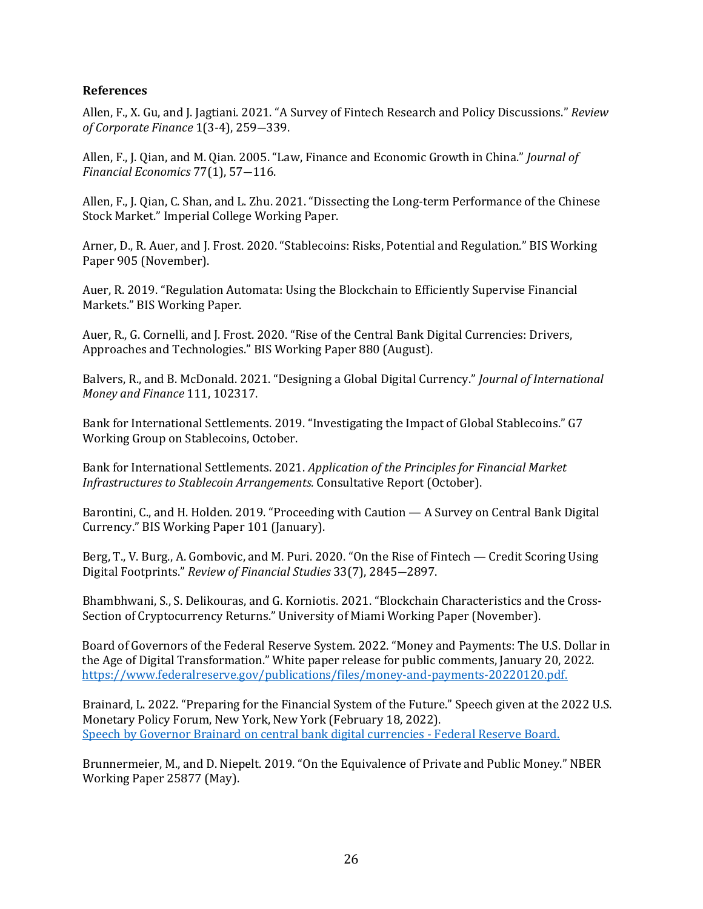## **References**

Allen, F., X. Gu, and J. Jagtiani. 2021. "A Survey of Fintech Research and Policy Discussions." *Review of Corporate Finance* 1(3-4), 259―339.

Allen, F., J. Qian, and M. Qian. 2005. "Law, Finance and Economic Growth in China." *Journal of Financial Economics* 77(1), 57―116.

Allen, F., J. Qian, C. Shan, and L. Zhu. 2021. "Dissecting the Long-term Performance of the Chinese Stock Market." Imperial College Working Paper.

Arner, D., R. Auer, and J. Frost. 2020. "Stablecoins: Risks, Potential and Regulation." BIS Working Paper 905 (November).

Auer, R. 2019. "Regulation Automata: Using the Blockchain to Efficiently Supervise Financial Markets." BIS Working Paper.

Auer, R., G. Cornelli, and J. Frost. 2020. "Rise of the Central Bank Digital Currencies: Drivers, Approaches and Technologies." BIS Working Paper 880 (August).

Balvers, R., and B. McDonald. 2021. "Designing a Global Digital Currency." *Journal of International Money and Finance* 111, 102317.

Bank for International Settlements. 2019. "Investigating the Impact of Global Stablecoins." G7 Working Group on Stablecoins, October.

Bank for International Settlements. 2021. *Application of the Principles for Financial Market Infrastructures to Stablecoin Arrangements.* Consultative Report (October).

Barontini, C., and H. Holden. 2019. "Proceeding with Caution — A Survey on Central Bank Digital Currency." BIS Working Paper 101 (January).

Berg, T., V. Burg., A. Gombovic, and M. Puri. 2020. "On the Rise of Fintech — Credit Scoring Using Digital Footprints." *Review of Financial Studies* 33(7), 2845―2897.

Bhambhwani, S., S. Delikouras, and G. Korniotis. 2021. "Blockchain Characteristics and the Cross-Section of Cryptocurrency Returns." University of Miami Working Paper (November).

Board of Governors of the Federal Reserve System. 2022. "Money and Payments: The U.S. Dollar in the Age of Digital Transformation." White paper release for public comments, January 20, 2022. [https://www.federalreserve.gov/publications/files/money-and-payments-20220120.pdf.](https://www.federalreserve.gov/publications/files/money-and-payments-20220120.pdf)

Brainard, L. 2022. "Preparing for the Financial System of the Future." Speech given at the 2022 U.S. Monetary Policy Forum, New York, New York (February 18, 2022). [Speech by Governor Brainard on central bank digital currencies - Federal Reserve Board.](https://www.federalreserve.gov/newsevents/speech/brainard20220218a.htm)

Brunnermeier, M., and D. Niepelt. 2019. "On the Equivalence of Private and Public Money." NBER Working Paper 25877 (May).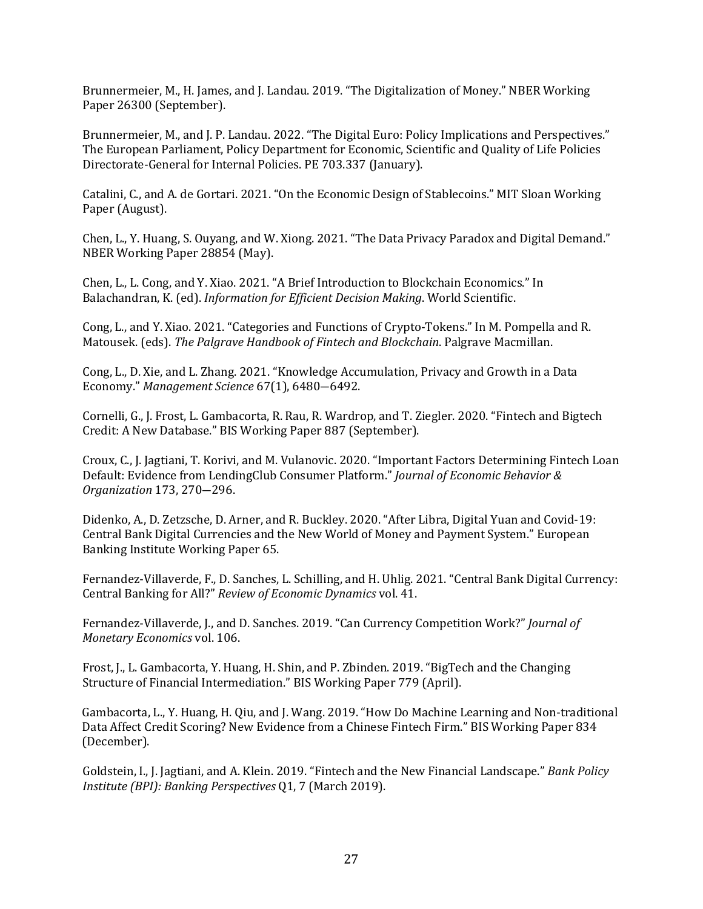Brunnermeier, M., H. James, and J. Landau. 2019. "The Digitalization of Money." NBER Working Paper 26300 (September).

Brunnermeier, M., and J. P. Landau. 2022. "The Digital Euro: Policy Implications and Perspectives." The European Parliament, Policy Department for Economic, Scientific and Quality of Life Policies Directorate-General for Internal Policies. PE 703.337 (January).

Catalini, C., and A. de Gortari. 2021. "On the Economic Design of Stablecoins." MIT Sloan Working Paper (August).

Chen, L., Y. Huang, S. Ouyang, and W. Xiong. 2021. "The Data Privacy Paradox and Digital Demand." NBER Working Paper 28854 (May).

Chen, L., L. Cong, and Y. Xiao. 2021. "A Brief Introduction to Blockchain Economics." In Balachandran, K. (ed). *Information for Efficient Decision Making*. World Scientific.

Cong, L., and Y. Xiao. 2021. "Categories and Functions of Crypto-Tokens." In M. Pompella and R. Matousek. (eds). *The Palgrave Handbook of Fintech and Blockchain*. Palgrave Macmillan.

Cong, L., D. Xie, and L. Zhang. 2021. "Knowledge Accumulation, Privacy and Growth in a Data Economy." *Management Science* 67(1), 6480―6492.

Cornelli, G., J. Frost, L. Gambacorta, R. Rau, R. Wardrop, and T. Ziegler. 2020. "Fintech and Bigtech Credit: A New Database." BIS Working Paper 887 (September).

Croux, C., J. Jagtiani, T. Korivi, and M. Vulanovic. 2020. "Important Factors Determining Fintech Loan Default: Evidence from LendingClub Consumer Platform." *Journal of Economic Behavior & Organization* 173, 270―296.

Didenko, A., D. Zetzsche, D. Arner, and R. Buckley. 2020. "After Libra, Digital Yuan and Covid-19: Central Bank Digital Currencies and the New World of Money and Payment System." European Banking Institute Working Paper 65.

Fernandez-Villaverde, F., D. Sanches, L. Schilling, and H. Uhlig. 2021. "Central Bank Digital Currency: Central Banking for All?" *Review of Economic Dynamics* vol. 41.

Fernandez-Villaverde, J., and D. Sanches. 2019. "Can Currency Competition Work?" *Journal of Monetary Economics* vol. 106.

Frost, J., L. Gambacorta, Y. Huang, H. Shin, and P. Zbinden. 2019. "BigTech and the Changing Structure of Financial Intermediation." BIS Working Paper 779 (April).

Gambacorta, L., Y. Huang, H. Qiu, and J. Wang. 2019. "How Do Machine Learning and Non-traditional Data Affect Credit Scoring? New Evidence from a Chinese Fintech Firm." BIS Working Paper 834 (December).

Goldstein, I., J. Jagtiani, and A. Klein. 2019. "Fintech and the New Financial Landscape." *Bank Policy Institute (BPI): Banking Perspectives* Q1, 7 (March 2019).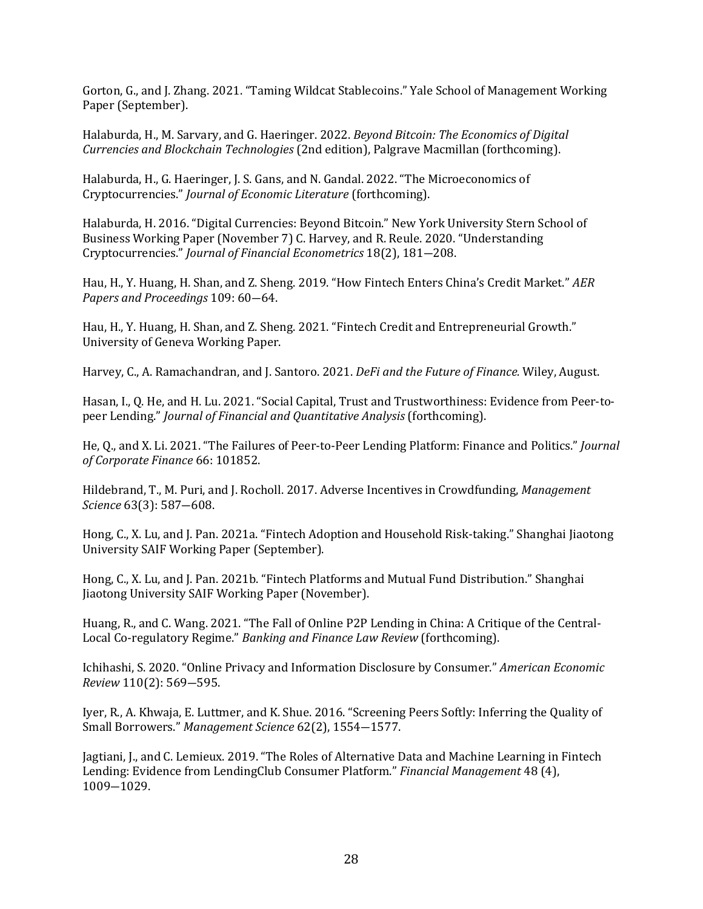Gorton, G., and J. Zhang. 2021. "Taming Wildcat Stablecoins." Yale School of Management Working Paper (September).

Halaburda, H., M. Sarvary, and G. Haeringer. 2022. *Beyond Bitcoin: The Economics of Digital Currencies and Blockchain Technologies* (2nd edition), Palgrave Macmillan (forthcoming).

Halaburda, H., G. Haeringer, J. S. Gans, and N. Gandal. 2022. "The Microeconomics of Cryptocurrencies." *Journal of Economic Literature* (forthcoming).

Halaburda, H. 2016. "Digital Currencies: Beyond Bitcoin." New York University Stern School of Business Working Paper (November 7) C. Harvey, and R. Reule. 2020. "Understanding Cryptocurrencies." *Journal of Financial Econometrics* 18(2), 181―208.

Hau, H., Y. Huang, H. Shan, and Z. Sheng. 2019. "How Fintech Enters China's Credit Market." *AER Papers and Proceedings* 109: 60―64.

Hau, H., Y. Huang, H. Shan, and Z. Sheng. 2021. "Fintech Credit and Entrepreneurial Growth." University of Geneva Working Paper.

Harvey, C., A. Ramachandran, and J. Santoro. 2021. *DeFi and the Future of Finance.* Wiley, August.

Hasan, I., Q. He, and H. Lu. 2021. "Social Capital, Trust and Trustworthiness: Evidence from Peer-topeer Lending." *Journal of Financial and Quantitative Analysis* (forthcoming).

He, Q., and X. Li. 2021. "The Failures of Peer-to-Peer Lending Platform: Finance and Politics." *Journal of Corporate Finance* 66: 101852.

Hildebrand, T., M. Puri, and J. Rocholl. 2017. Adverse Incentives in Crowdfunding, *Management Science* 63(3): 587―608.

Hong, C., X. Lu, and J. Pan. 2021a. "Fintech Adoption and Household Risk-taking." Shanghai Jiaotong University SAIF Working Paper (September).

Hong, C., X. Lu, and J. Pan. 2021b. "Fintech Platforms and Mutual Fund Distribution." Shanghai Jiaotong University SAIF Working Paper (November).

Huang, R., and C. Wang. 2021. "The Fall of Online P2P Lending in China: A Critique of the Central-Local Co-regulatory Regime." *Banking and Finance Law Review* (forthcoming).

Ichihashi, S. 2020. "Online Privacy and Information Disclosure by Consumer." *American Economic Review* 110(2): 569―595.

Iyer, R., A. Khwaja, E. Luttmer, and K. Shue. 2016. "Screening Peers Softly: Inferring the Quality of Small Borrowers." *Management Science* 62(2), 1554―1577.

Jagtiani, J., and C. Lemieux. 2019. "The Roles of Alternative Data and Machine Learning in Fintech Lending: Evidence from LendingClub Consumer Platform." *Financial Management* 48 (4), 1009―1029.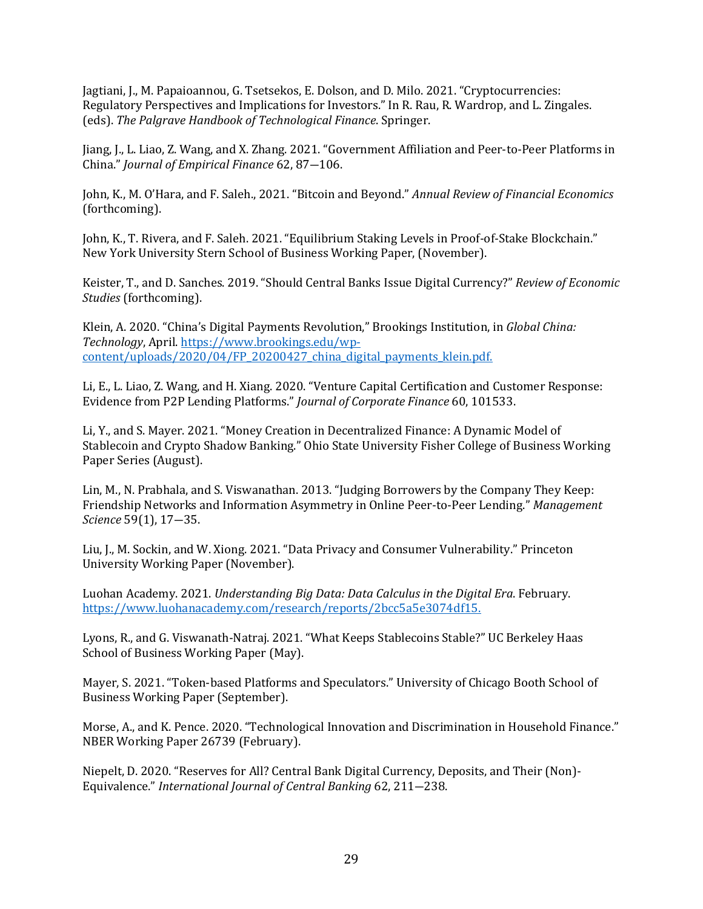Jagtiani, J., M. Papaioannou, G. Tsetsekos, E. Dolson, and D. Milo. 2021. "Cryptocurrencies: Regulatory Perspectives and Implications for Investors." In R. Rau, R. Wardrop, and L. Zingales. (eds). *The Palgrave Handbook of Technological Finance*. Springer.

Jiang, J., L. Liao, Z. Wang, and X. Zhang. 2021. "Government Affiliation and Peer-to-Peer Platforms in China." *Journal of Empirical Finance* 62, 87―106.

John, K., M. O'Hara, and F. Saleh., 2021. "Bitcoin and Beyond." *Annual Review of Financial Economics* (forthcoming).

John, K., T. Rivera, and F. Saleh. 2021. "Equilibrium Staking Levels in Proof-of-Stake Blockchain." New York University Stern School of Business Working Paper, (November).

Keister, T., and D. Sanches. 2019. "Should Central Banks Issue Digital Currency?" *Review of Economic Studies* (forthcoming).

Klein, A. 2020. "China's Digital Payments Revolution," Brookings Institution, in *Global China: Technology*, April[. https://www.brookings.edu/wp](https://www.brookings.edu/wp-content/uploads/2020/04/FP_20200427_china_digital_payments_klein.pdf)[content/uploads/2020/04/FP\\_20200427\\_china\\_digital\\_payments\\_klein.pdf.](https://www.brookings.edu/wp-content/uploads/2020/04/FP_20200427_china_digital_payments_klein.pdf)

Li, E., L. Liao, Z. Wang, and H. Xiang. 2020. "Venture Capital Certification and Customer Response: Evidence from P2P Lending Platforms." *Journal of Corporate Finance* 60, 101533.

Li, Y., and S. Mayer. 2021. "Money Creation in Decentralized Finance: A Dynamic Model of Stablecoin and Crypto Shadow Banking." Ohio State University Fisher College of Business Working Paper Series (August).

Lin, M., N. Prabhala, and S. Viswanathan. 2013. "Judging Borrowers by the Company They Keep: Friendship Networks and Information Asymmetry in Online Peer-to-Peer Lending." *Management Science* 59(1), 17―35.

Liu, J., M. Sockin, and W. Xiong. 2021. "Data Privacy and Consumer Vulnerability." Princeton University Working Paper (November).

Luohan Academy. 2021. *Understanding Big Data: Data Calculus in the Digital Era*. February. [https://www.luohanacademy.com/research/reports/2bcc5a5e3074df15.](https://www.luohanacademy.com/research/reports/2bcc5a5e3074df15)

Lyons, R., and G. Viswanath-Natraj. 2021. "What Keeps Stablecoins Stable?" UC Berkeley Haas School of Business Working Paper (May).

Mayer, S. 2021. "Token-based Platforms and Speculators." University of Chicago Booth School of Business Working Paper (September).

Morse, A., and K. Pence. 2020. "Technological Innovation and Discrimination in Household Finance." NBER Working Paper 26739 (February).

Niepelt, D. 2020. "Reserves for All? Central Bank Digital Currency, Deposits, and Their (Non)- Equivalence." *International Journal of Central Banking* 62, 211―238.